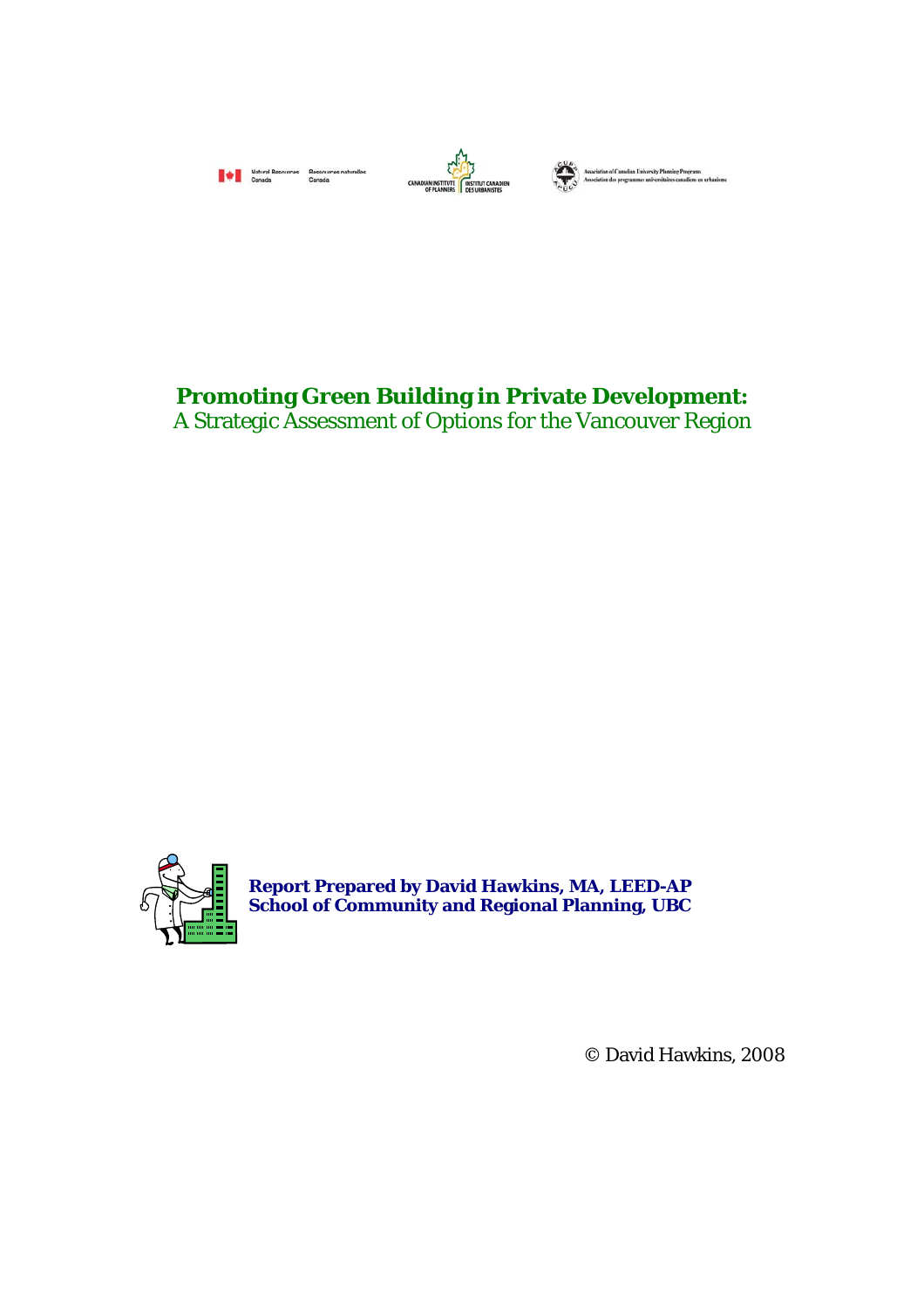



Association of Canadian University Planning Programs<br>Association des programmes universitaires canadiens en un

# **Promoting Green Building in Private Development:**

A Strategic Assessment of Options for the Vancouver Region



**Report Prepared by David Hawkins, MA, LEED-AP School of Community and Regional Planning, UBC** 

© David Hawkins, 2008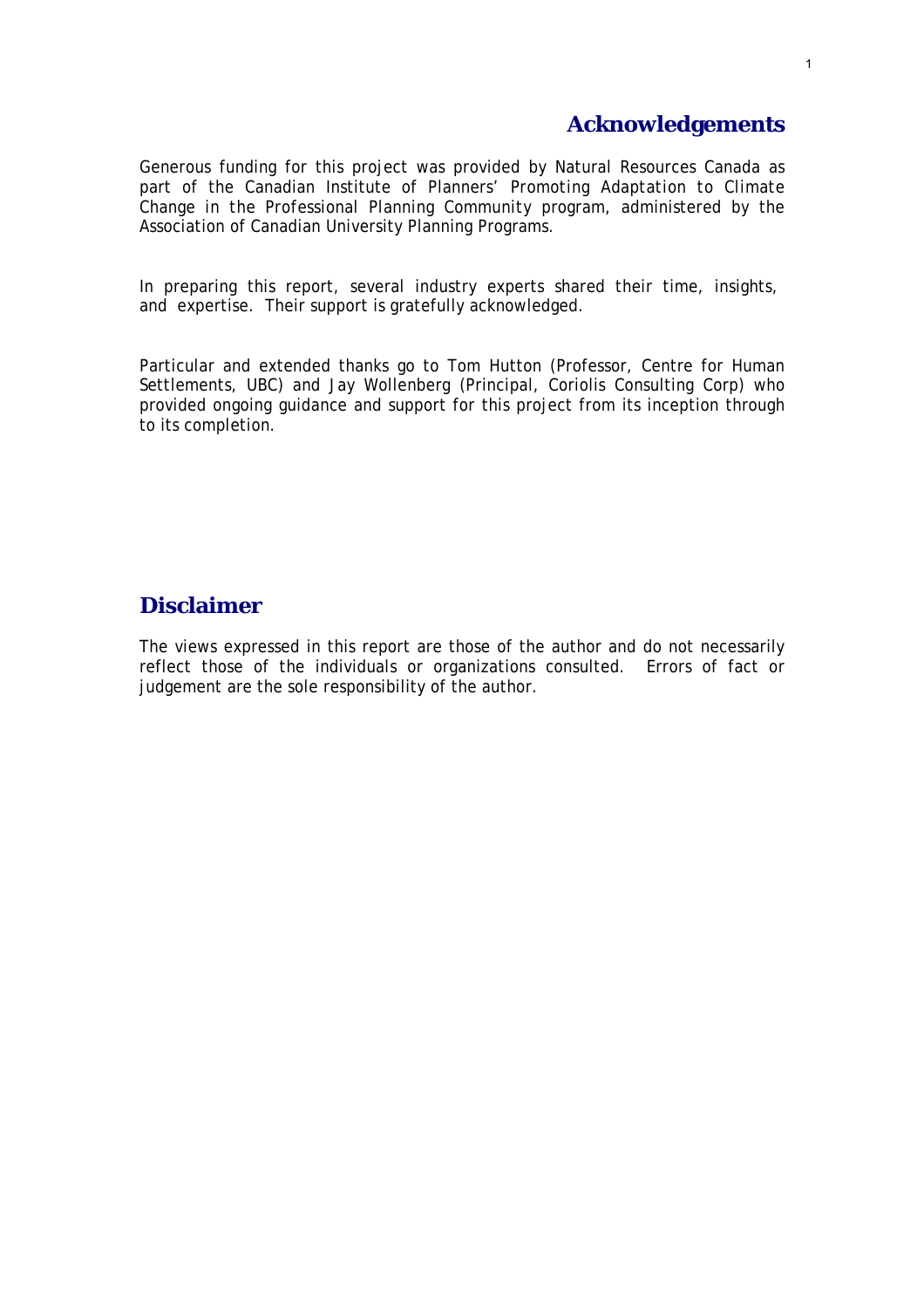# **Acknowledgements**

Generous funding for this project was provided by Natural Resources Canada as part of the Canadian Institute of Planners' *Promoting Adaptation to Climate Change in the Professional Planning Community* program, administered by the Association of Canadian University Planning Programs.

In preparing this report, several industry experts shared their time, insights, and expertise. Their support is gratefully acknowledged.

Particular and extended thanks go to Tom Hutton (Professor, Centre for Human Settlements, UBC) and Jay Wollenberg (Principal, Coriolis Consulting Corp) who provided ongoing guidance and support for this project from its inception through to its completion.

# **Disclaimer**

The views expressed in this report are those of the author and do not necessarily reflect those of the individuals or organizations consulted. Errors of fact or judgement are the sole responsibility of the author.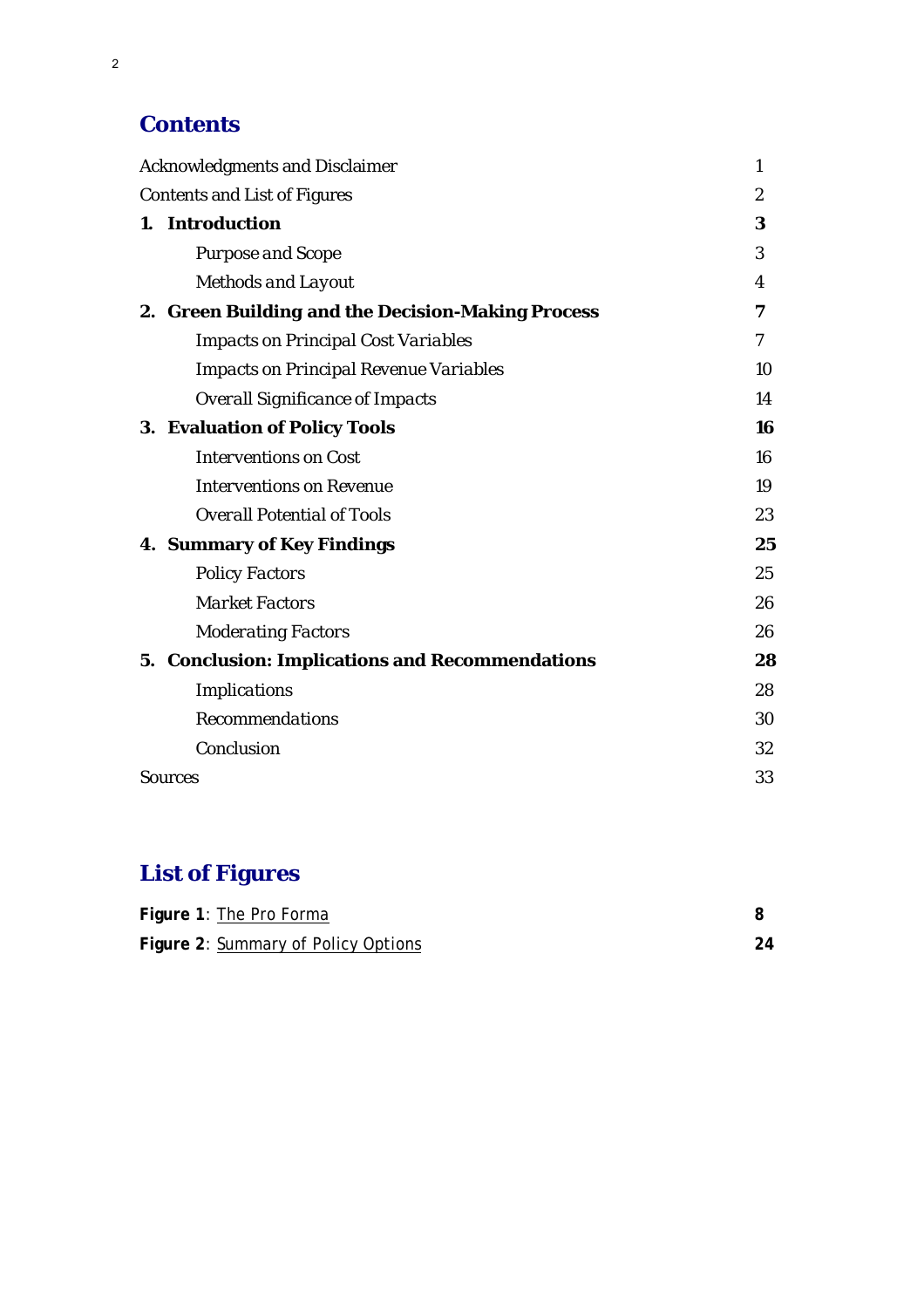# **Contents**

| <b>Acknowledgments and Disclaimer</b> |                                                   | 1              |
|---------------------------------------|---------------------------------------------------|----------------|
| <b>Contents and List of Figures</b>   |                                                   | $\overline{2}$ |
|                                       | 1. Introduction                                   | 3              |
|                                       | <b>Purpose and Scope</b>                          | 3              |
|                                       | <b>Methods and Layout</b>                         | 4              |
|                                       | 2. Green Building and the Decision-Making Process | 7              |
|                                       | <b>Impacts on Principal Cost Variables</b>        | 7              |
|                                       | <b>Impacts on Principal Revenue Variables</b>     | 10             |
|                                       | <b>Overall Significance of Impacts</b>            | 14             |
|                                       | <b>3. Evaluation of Policy Tools</b>              | 16             |
|                                       | <b>Interventions on Cost</b>                      | 16             |
|                                       | <b>Interventions on Revenue</b>                   | 19             |
|                                       | <b>Overall Potential of Tools</b>                 | 23             |
|                                       | <b>4. Summary of Key Findings</b>                 | 25             |
|                                       | <b>Policy Factors</b>                             | 25             |
|                                       | <b>Market Factors</b>                             | 26             |
|                                       | <b>Moderating Factors</b>                         | 26             |
|                                       | 5. Conclusion: Implications and Recommendations   | 28             |
|                                       | <b>Implications</b>                               | 28             |
|                                       | <b>Recommendations</b>                            | 30             |
|                                       | Conclusion                                        | 32             |
| <b>Sources</b>                        |                                                   | 33             |

# **List of Figures**

| Figure 1: The Pro Forma             |    |
|-------------------------------------|----|
| Figure 2: Summary of Policy Options | 24 |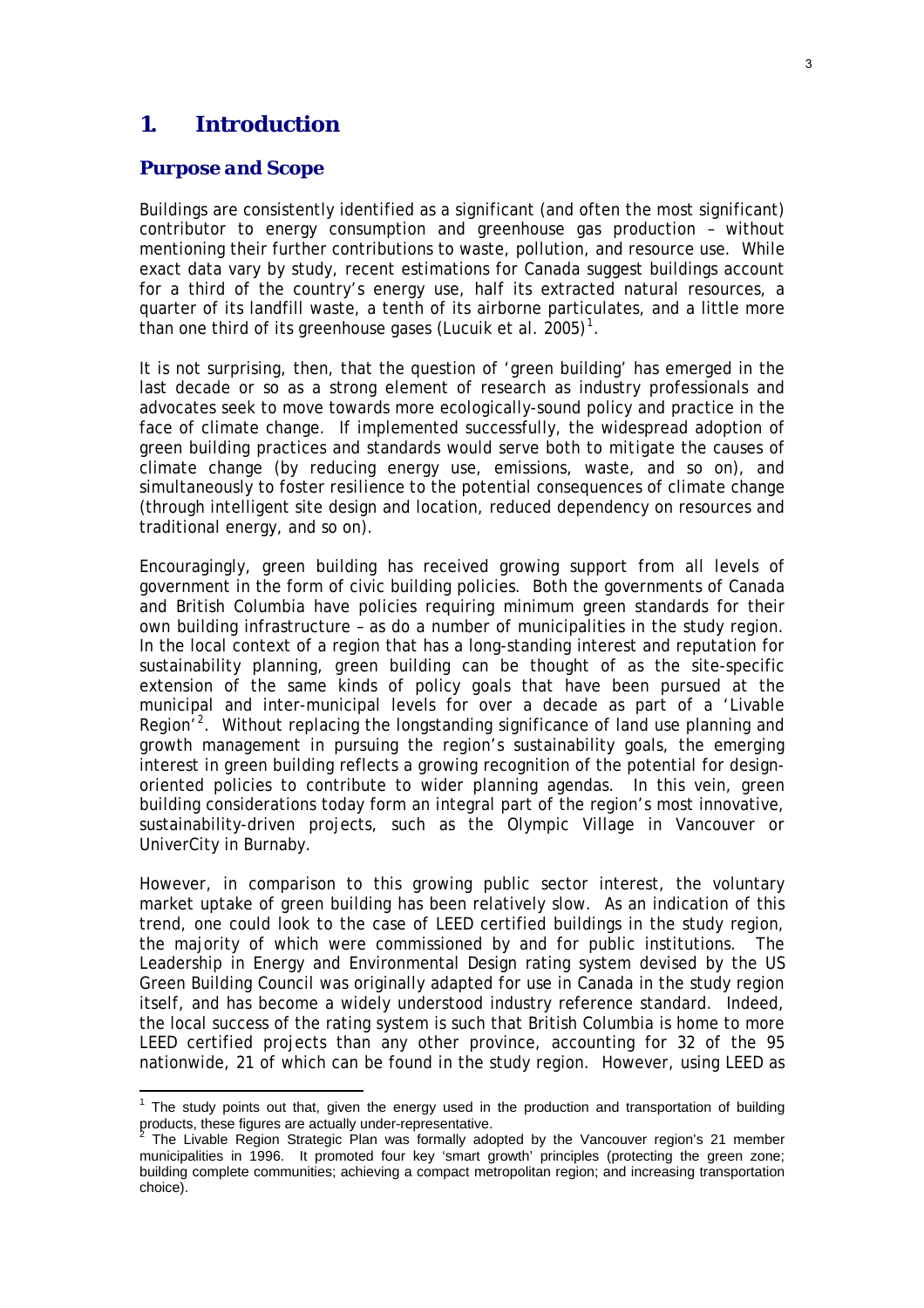### **1. Introduction**

#### *Purpose and Scope*

Buildings are consistently identified as a significant (and often *the* most significant) contributor to energy consumption and greenhouse gas production – without mentioning their further contributions to waste, pollution, and resource use. While exact data vary by study, recent estimations for Canada suggest buildings account for a third of the country's energy use, half its extracted natural resources, a quarter of its landfill waste, a tenth of its airborne particulates, and a little more than one third of its greenhouse gases (Lucuik et al.  $2005$ )<sup>[1](#page-3-0)</sup>.

It is not surprising, then, that the question of 'green building' has emerged in the last decade or so as a strong element of research as industry professionals and advocates seek to move towards more ecologically-sound policy and practice in the face of climate change. If implemented successfully, the widespread adoption of green building practices and standards would serve both to *mitigate* the causes of climate change (by reducing energy use, emissions, waste, and so on), and simultaneously to foster *resilience* to the potential consequences of climate change (through intelligent site design and location, reduced dependency on resources and traditional energy, and so on).

Encouragingly, green building has received growing support from all levels of government in the form of civic building policies. Both the governments of Canada and British Columbia have policies requiring minimum green standards for their own building infrastructure – as do a number of municipalities in the study region. In the local context of a region that has a long-standing interest and reputation for sustainability planning, green building can be thought of as the site-specific extension of the same kinds of policy goals that have been pursued at the municipal and inter-municipal levels for over a decade as part of a 'Livable Region<sup>'[2](#page-3-1)</sup>. Without replacing the longstanding significance of land use planning and growth management in pursuing the region's sustainability goals, the emerging interest in green building reflects a growing recognition of the potential for designoriented policies to contribute to wider planning agendas. In this vein, green building considerations today form an integral part of the region's most innovative, sustainability-driven projects, such as the Olympic Village in Vancouver or UniverCity in Burnaby.

However, in comparison to this growing public sector interest, the voluntary market uptake of green building has been relatively slow. As an indication of this trend, one could look to the case of LEED certified buildings in the study region, the majority of which were commissioned by and for public institutions. The Leadership in Energy and Environmental Design rating system devised by the US Green Building Council was originally adapted for use in Canada in the study region itself, and has become a widely understood industry reference standard. Indeed, the local success of the rating system is such that British Columbia is home to more LEED certified projects than any other province, accounting for 32 of the 95 nationwide, 21 of which can be found in the study region. However, using LEED as

<span id="page-3-0"></span>The study points out that, given the energy used in the production and transportation of building products, these figures are actually under-representative.

<span id="page-3-1"></span>The Livable Region Strategic Plan was formally adopted by the Vancouver region's 21 member municipalities in 1996. It promoted four key 'smart growth' principles (protecting the green zone; building complete communities; achieving a compact metropolitan region; and increasing transportation choice).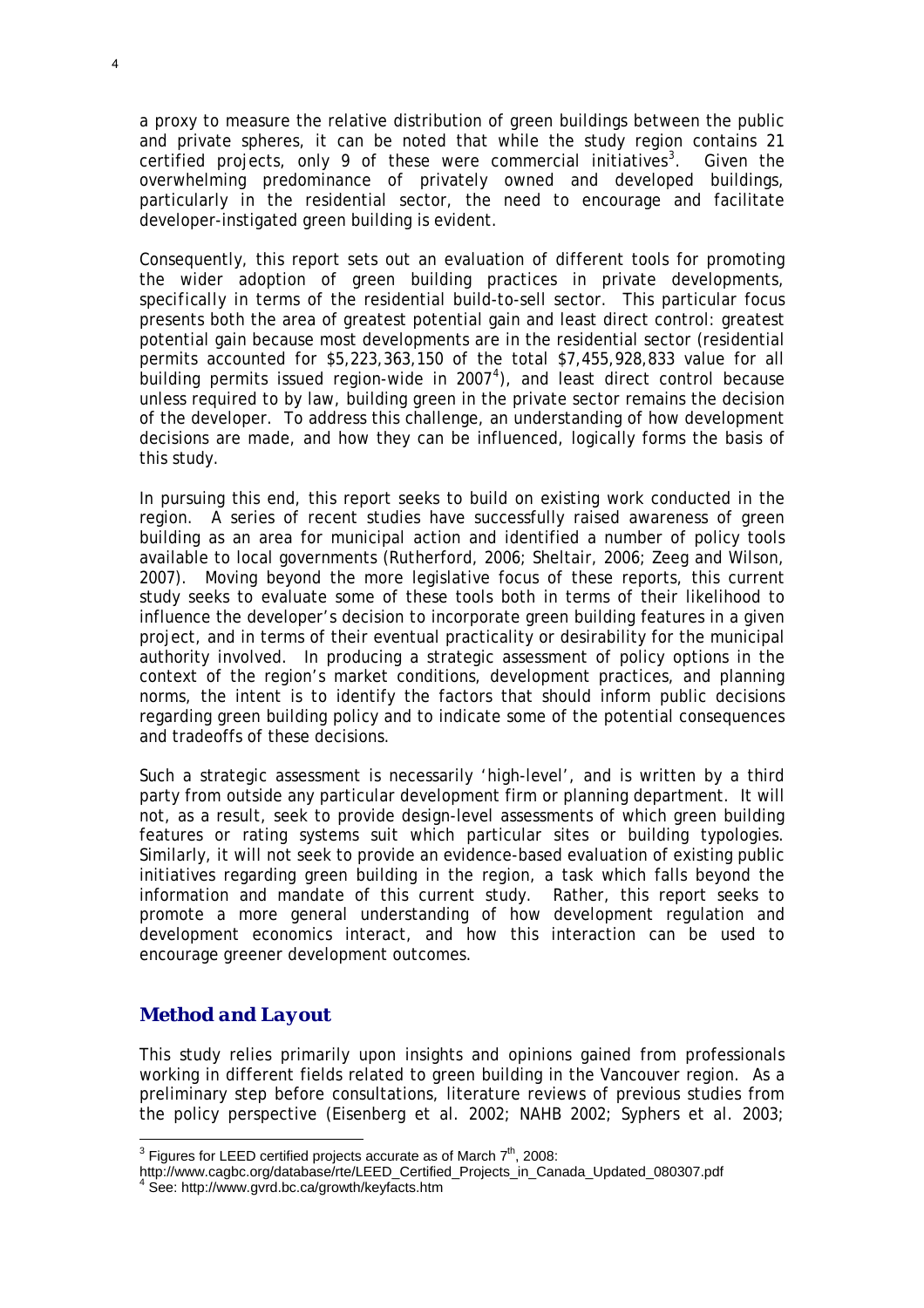a proxy to measure the relative distribution of green buildings between the public and private spheres, it can be noted that while the study region contains 21 certified projects, only 9 of these were commercial initiatives<sup>[3](#page-4-0)</sup>. . Given the overwhelming predominance of privately owned and developed buildings, particularly in the residential sector, the need to encourage and facilitate developer-instigated green building is evident.

Consequently, this report sets out an evaluation of different tools for promoting the wider adoption of green building practices in private developments, *specifically* in terms of the residential build-to-sell sector. This particular focus presents both the area of greatest potential gain and least direct control: greatest potential gain because most developments are in the residential sector (residential permits accounted for \$5,223,363,150 of the total \$7,455,928,833 value for all .<br>building permits issued region-wide in 2007<sup>[4](#page-4-1)</sup>), and least direct control because unless required to by law, building green in the private sector remains the decision of the developer. To address this challenge, an understanding of how development decisions are made, and how they can be influenced, logically forms the basis of this study.

In pursuing this end, this report seeks to build on existing work conducted in the region. A series of recent studies have successfully raised awareness of green building as an area for municipal action and identified a number of policy tools available to local governments (Rutherford, 2006; Sheltair, 2006; Zeeg and Wilson, 2007). Moving beyond the more legislative focus of these reports, this current study seeks to evaluate some of these tools both in terms of their likelihood to influence the developer's decision to incorporate green building features in a given project, and in terms of their eventual practicality or desirability for the municipal authority involved. In producing a strategic assessment of policy options in the context of the region's market conditions, development practices, and planning norms, the intent is to identify the factors that should inform public decisions regarding green building policy and to indicate some of the potential consequences and tradeoffs of these decisions.

Such a strategic assessment is necessarily 'high-level', and is written by a third party from outside any particular development firm or planning department. It will not, as a result, seek to provide design-level assessments of which green building features or rating systems suit which particular sites or building typologies. Similarly, it will not seek to provide an evidence-based evaluation of existing public initiatives regarding green building in the region, a task which falls beyond the information and mandate of this current study. Rather, this report seeks to promote a more general understanding of how development regulation and development economics interact, and how this interaction can be used to encourage greener development outcomes.

#### *Method and Layout*

 $\overline{a}$ 

This study relies primarily upon insights and opinions gained from professionals working in different fields related to green building in the Vancouver region. As a preliminary step before consultations, literature reviews of previous studies from the policy perspective (Eisenberg et al. 2002; NAHB 2002; Syphers et al. 2003;

<sup>&</sup>lt;sup>3</sup> Figures for LEED certified projects accurate as of March  $7<sup>th</sup>$ , 2008:

<span id="page-4-0"></span>http://www.cagbc.org/database/rte/LEED\_Certified\_Projects\_in\_Canada\_Updated\_080307.pdf

<span id="page-4-1"></span>See: http://www.gvrd.bc.ca/growth/keyfacts.htm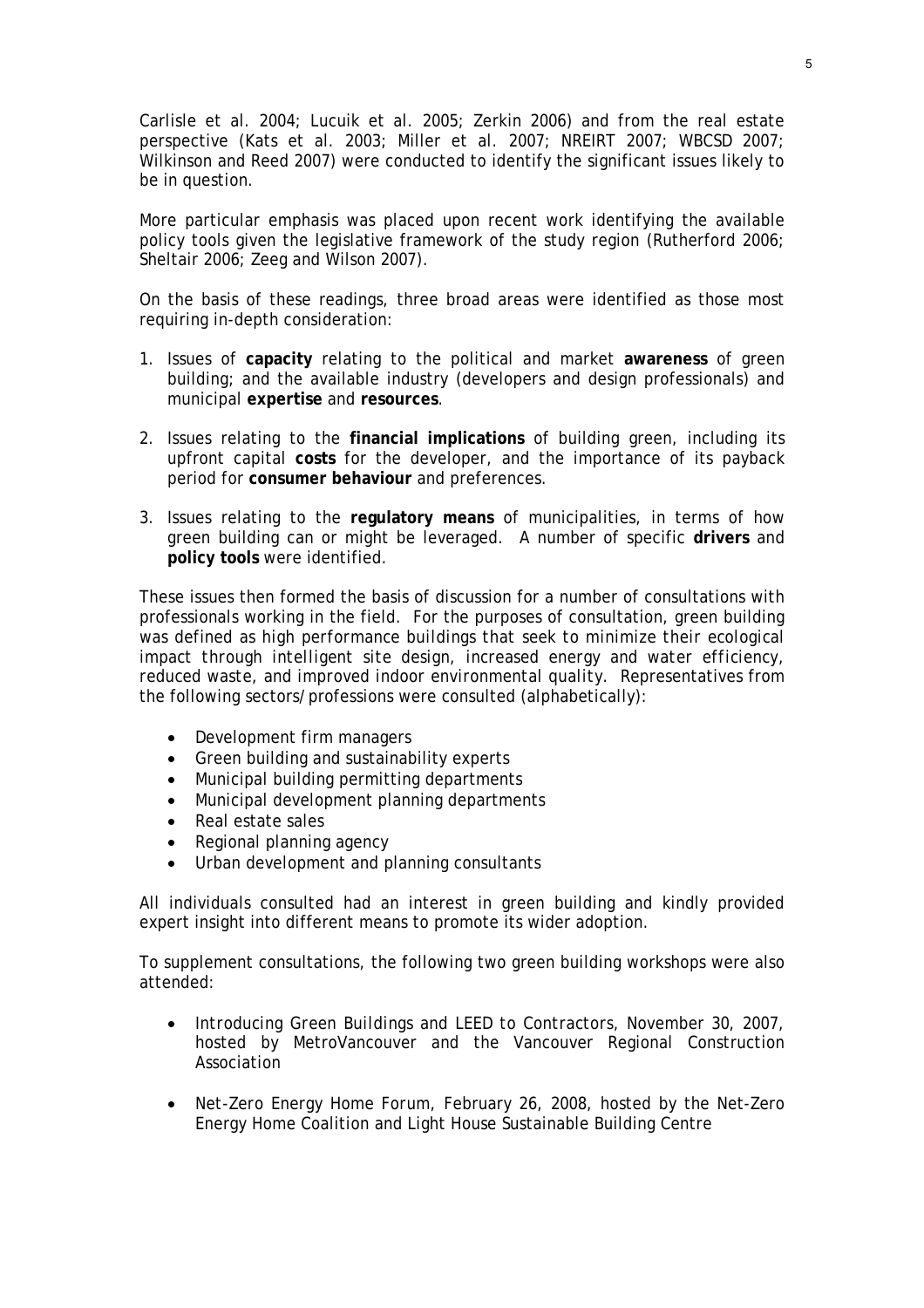Carlisle et al. 2004; Lucuik et al. 2005; Zerkin 2006) and from the real estate perspective (Kats et al. 2003; Miller et al. 2007; NREIRT 2007; WBCSD 2007; Wilkinson and Reed 2007) were conducted to identify the significant issues likely to be in question.

More particular emphasis was placed upon recent work identifying the available policy tools given the legislative framework of the study region (Rutherford 2006; Sheltair 2006; Zeeg and Wilson 2007).

On the basis of these readings, three broad areas were identified as those most requiring in-depth consideration:

- 1. Issues of **capacity** relating to the political and market **awareness** of green building; and the available industry (developers and design professionals) and municipal **expertise** and **resources**.
- 2. Issues relating to the **financial implications** of building green, including its upfront capital **costs** for the developer, and the importance of its payback period for **consumer behaviour** and preferences.
- 3. Issues relating to the **regulatory means** of municipalities, in terms of how green building can or might be leveraged. A number of specific **drivers** and **policy tools** were identified.

These issues then formed the basis of discussion for a number of consultations with professionals working in the field. For the purposes of consultation, green building was defined as *high performance buildings that seek to minimize their ecological impact through intelligent site design, increased energy and water efficiency, reduced waste, and improved indoor environmental quality*. Representatives from the following sectors/professions were consulted (alphabetically):

- Development firm managers
- Green building and sustainability experts
- Municipal building permitting departments
- Municipal development planning departments
- Real estate sales
- Regional planning agency
- Urban development and planning consultants

All individuals consulted had an interest in green building and kindly provided expert insight into different means to promote its wider adoption.

To supplement consultations, the following two green building workshops were also attended:

- *Introducing Green Buildings and LEED to Contractors*, November 30, 2007, hosted by MetroVancouver and the Vancouver Regional Construction Association
- *Net-Zero Energy Home Forum*, February 26, 2008, hosted by the Net-Zero Energy Home Coalition and Light House Sustainable Building Centre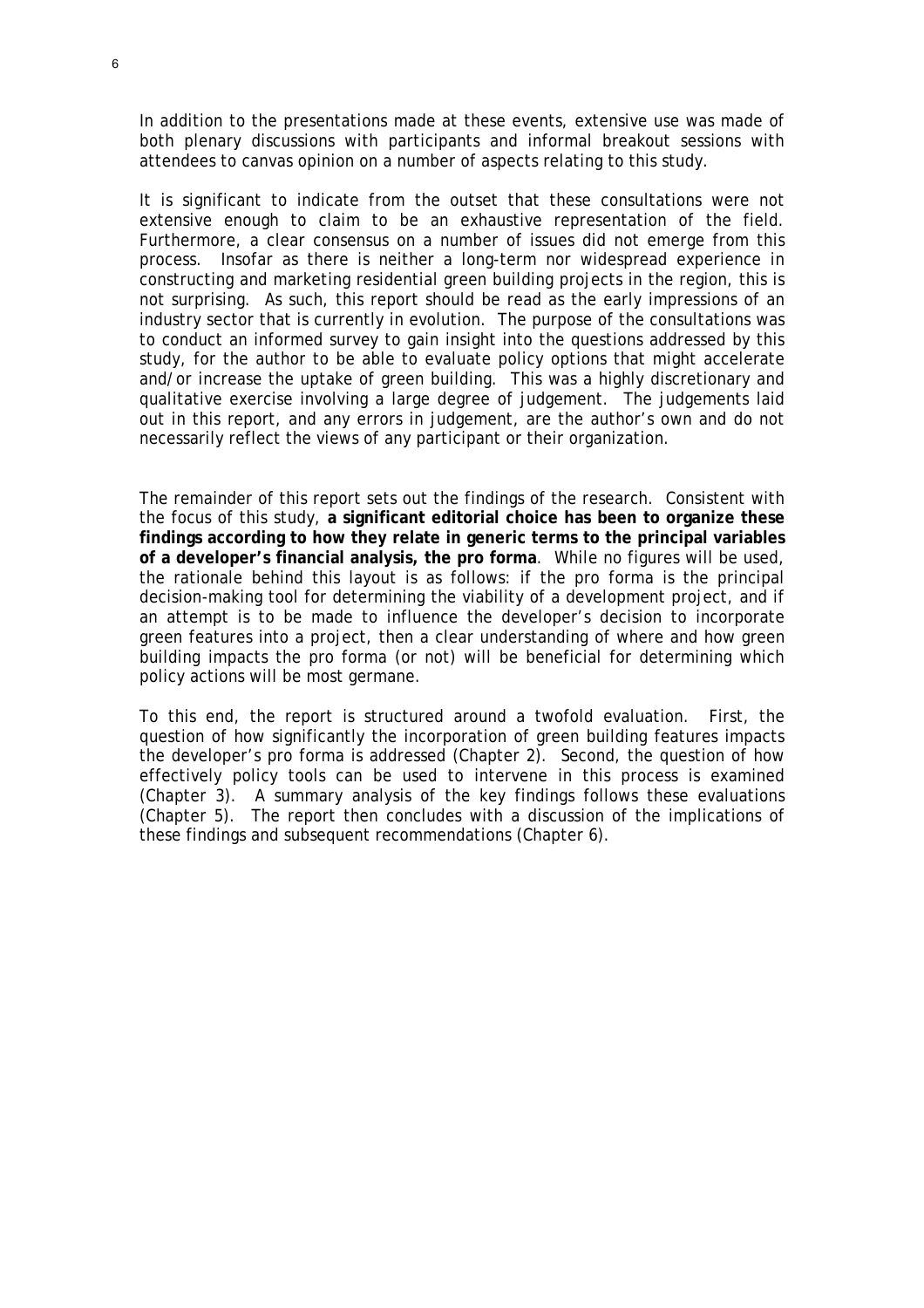In addition to the presentations made at these events, extensive use was made of both plenary discussions with participants and informal breakout sessions with attendees to canvas opinion on a number of aspects relating to this study.

It is significant to indicate from the outset that these consultations were not extensive enough to claim to be an exhaustive representation of the field. Furthermore, a clear consensus on a number of issues did not emerge from this process. Insofar as there is neither a long-term nor widespread experience in constructing and marketing residential green building projects in the region, this is not surprising. As such, this report should be read as the early impressions of an industry sector that is currently in evolution. The purpose of the consultations was to conduct an informed survey to gain insight into the questions addressed by this study, for the author to be able to evaluate policy options that might accelerate and/or increase the uptake of green building. This was a highly discretionary and qualitative exercise involving a large degree of judgement. The judgements laid out in this report, and any errors in judgement, are the author's own and do not necessarily reflect the views of any participant or their organization.

The remainder of this report sets out the findings of the research. Consistent with the focus of this study, **a significant editorial choice has been to organize these findings according to how they relate in generic terms to the principal variables of a developer's financial analysis, the pro forma**. While no figures will be used, the rationale behind this layout is as follows: if the pro forma is the principal decision-making tool for determining the viability of a development project, and if an attempt is to be made to influence the developer's decision to incorporate green features into a project, then a clear understanding of where and how green building impacts the pro forma (or not) will be beneficial for determining which policy actions will be most germane.

To this end, the report is structured around a twofold evaluation. First, the question of how significantly the incorporation of green building features impacts the developer's pro forma is addressed (Chapter 2). Second, the question of how effectively policy tools can be used to intervene in this process is examined (Chapter 3). A summary analysis of the key findings follows these evaluations (Chapter 5). The report then concludes with a discussion of the implications of these findings and subsequent recommendations (Chapter 6).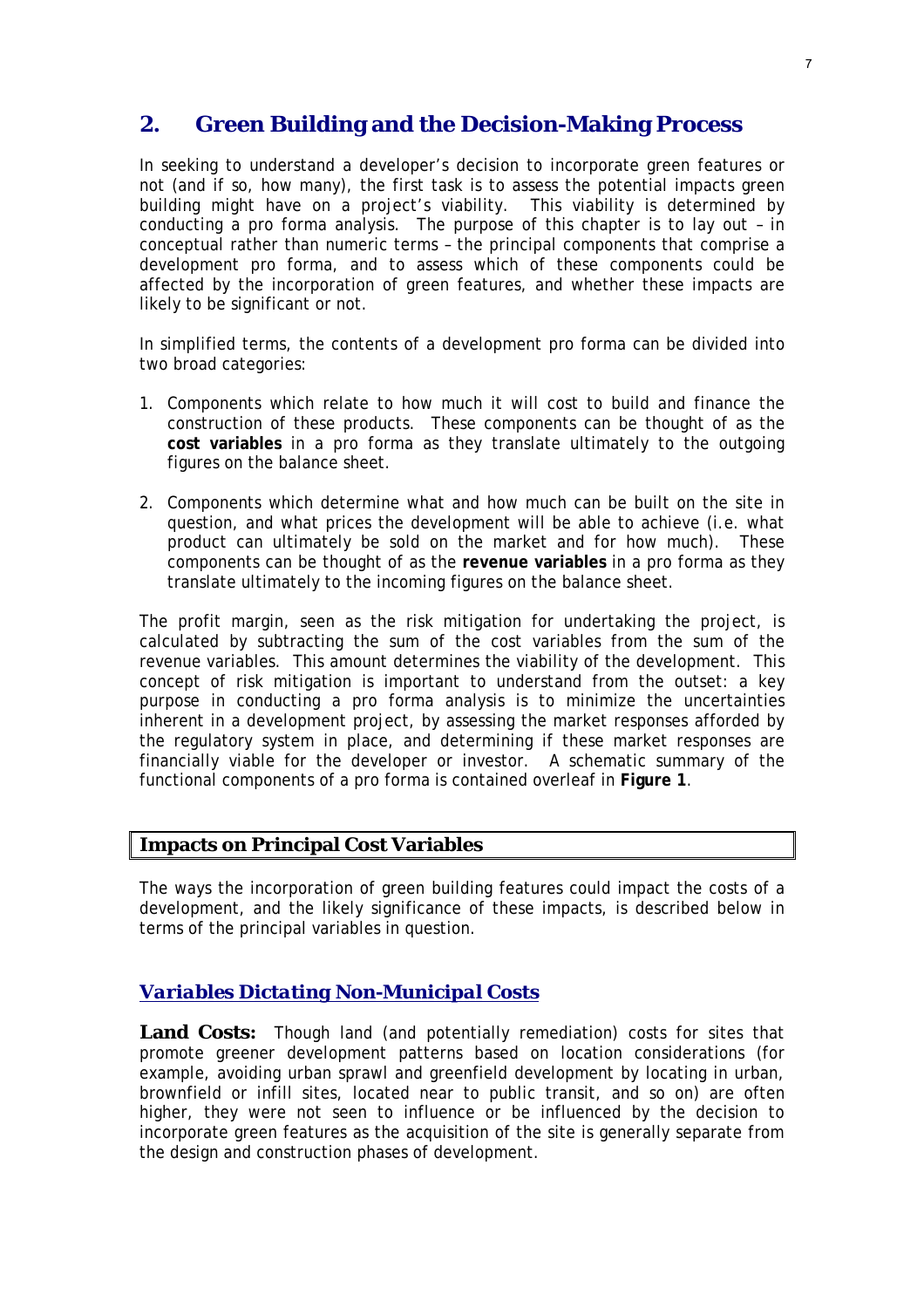# **2. Green Building and the Decision-Making Process**

In seeking to understand a developer's decision to incorporate green features or not (and if so, how many), the first task is to assess the potential impacts green building might have on a project's viability. This viability is determined by conducting a pro forma analysis. The purpose of this chapter is to lay out – in conceptual rather than numeric terms – the principal components that comprise a development pro forma, and to assess which of these components could be affected by the incorporation of green features, and whether these impacts are likely to be significant or not.

In simplified terms, the contents of a development pro forma can be divided into two broad categories:

- 1. Components which relate to how much it will cost to build and finance the construction of these products. These components can be thought of as the **cost variables** in a pro forma as they translate ultimately to the outgoing figures on the balance sheet.
- 2. Components which determine what and how much can be built on the site in question, and what prices the development will be able to achieve (i.e. what product can ultimately be sold on the market and for how much). These components can be thought of as the **revenue variables** in a pro forma as they translate ultimately to the incoming figures on the balance sheet.

The profit margin, seen as the risk mitigation for undertaking the project, is calculated by subtracting the sum of the cost variables from the sum of the revenue variables. This amount determines the viability of the development. This concept of risk mitigation is important to understand from the outset: a key purpose in conducting a pro forma analysis is to minimize the uncertainties inherent in a development project, by assessing the market responses afforded by the regulatory system in place, and determining if these market responses are financially viable for the developer or investor. A schematic summary of the functional components of a pro forma is contained overleaf in **Figure 1**.

#### **Impacts on Principal Cost Variables**

The ways the incorporation of green building features could impact the costs of a development, and the likely significance of these impacts, is described below in terms of the principal variables in question.

#### *Variables Dictating Non-Municipal Costs*

Land Costs: Though land (and potentially remediation) costs for sites that promote greener development patterns based on location considerations (for example, avoiding urban sprawl and greenfield development by locating in urban, brownfield or infill sites, located near to public transit, and so on) are often higher, they were not seen to influence or be influenced by the decision to incorporate green features as the acquisition of the site is generally separate from the design and construction phases of development.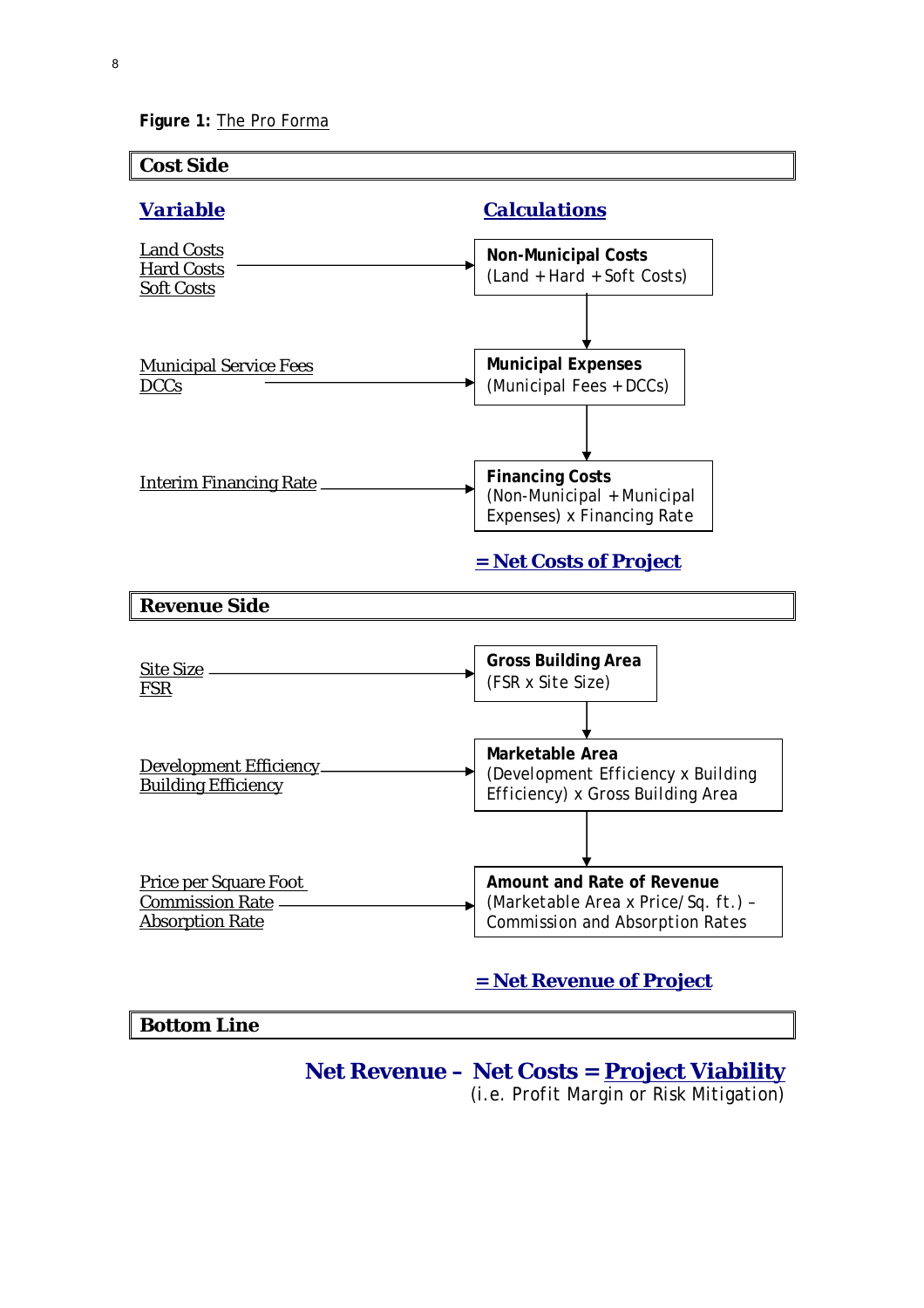**Figure 1:** The Pro Forma



# **Net Revenue – Net Costs = Project Viability**

*(i.e. Profit Margin or Risk Mitigation)*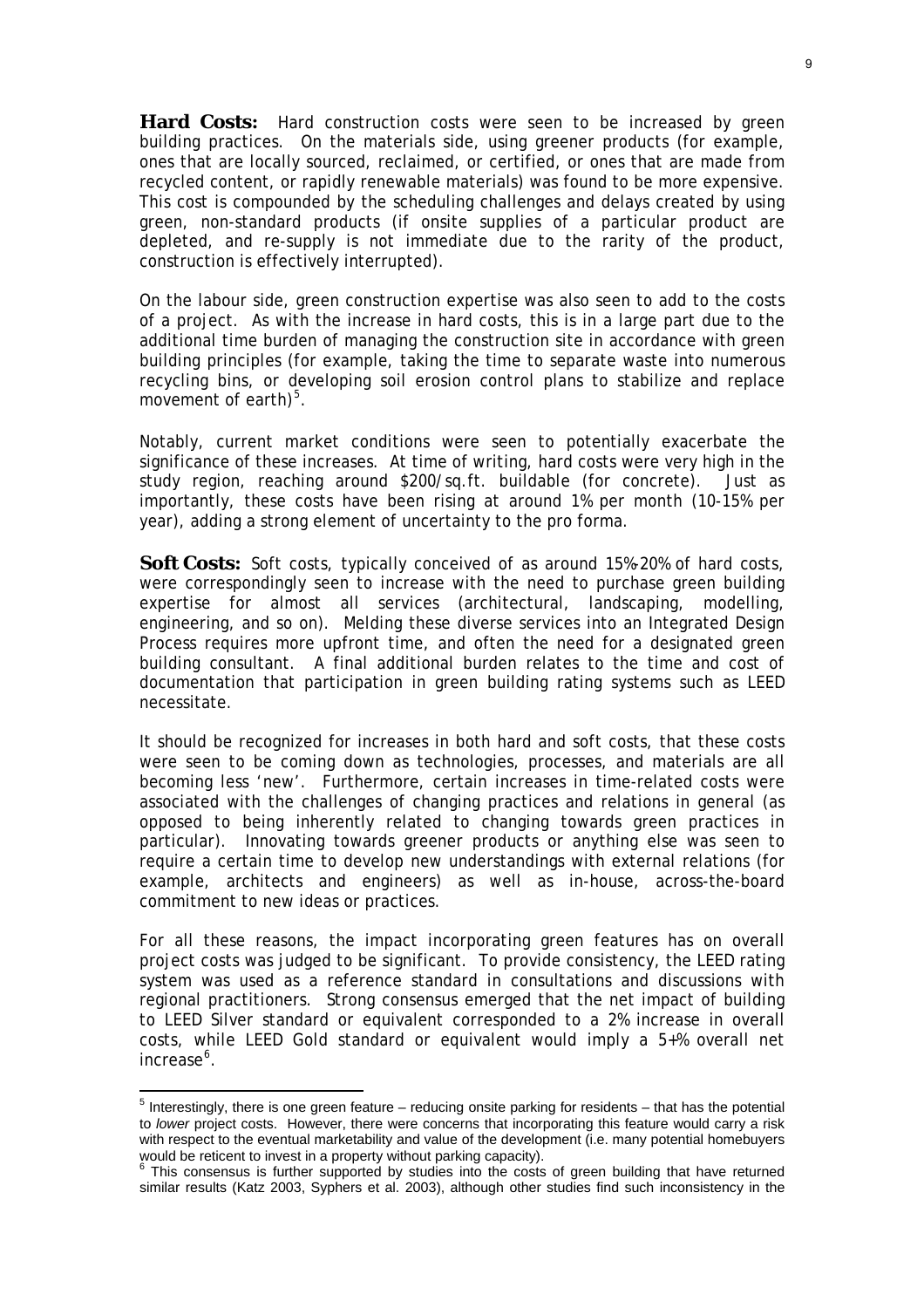**Hard Costs:** Hard construction costs were seen to be increased by green building practices. On the materials side, using greener products (for example, ones that are locally sourced, reclaimed, or certified, or ones that are made from recycled content, or rapidly renewable materials) was found to be more expensive. This cost is compounded by the scheduling challenges and delays created by using green, non-standard products (if onsite supplies of a particular product are depleted, and re-supply is not immediate due to the rarity of the product, construction is effectively interrupted).

On the labour side, green construction expertise was also seen to add to the costs of a project. As with the increase in hard costs, this is in a large part due to the additional time burden of managing the construction site in accordance with green building principles (for example, taking the time to separate waste into numerous recycling bins, or developing soil erosion control plans to stabilize and replace movement of earth) $5$ .

Notably, current market conditions were seen to potentially exacerbate the significance of these increases. At time of writing, hard costs were very high in the study region, reaching around \$200/sq.ft. buildable (for concrete). Just as importantly, these costs have been rising at around 1% per month (10-15% per year), adding a strong element of uncertainty to the pro forma.

Soft Costs: Soft costs, typically conceived of as around 15%-20% of hard costs, were correspondingly seen to increase with the need to purchase green building expertise for almost all services (architectural, landscaping, modelling, engineering, and so on). Melding these diverse services into an Integrated Design Process requires more upfront time, and often the need for a designated green building consultant. A final additional burden relates to the time and cost of documentation that participation in green building rating systems such as LEED necessitate.

It should be recognized for increases in both hard and soft costs, that these costs were seen to be coming down as technologies, processes, and materials are all becoming less 'new'. Furthermore, certain increases in time-related costs were associated with the challenges of changing practices and relations in general (as opposed to being inherently related to changing towards green practices in particular). Innovating towards greener products or anything else was seen to require a certain time to develop new understandings with external relations (for example, architects and engineers) as well as in-house, across-the-board commitment to new ideas or practices.

For all these reasons, the impact incorporating green features has on overall project costs was judged to be significant. To provide consistency, the LEED rating system was used as a reference standard in consultations and discussions with regional practitioners. Strong consensus emerged that the net impact of building to LEED Silver standard or equivalent corresponded to a 2% increase in overall costs, while LEED Gold standard or equivalent would imply a 5+% overall net increase<sup>[6](#page-9-1)</sup>.

<span id="page-9-0"></span> 5 Interestingly, there is one green feature – reducing onsite parking for residents – that has the potential to *lower* project costs. However, there were concerns that incorporating this feature would carry a risk with respect to the eventual marketability and value of the development (i.e. many potential homebuyers would be reticent to invest in a property without parking capacity).<br><sup>6</sup> This consensue is further supported by studies into the sector

<span id="page-9-1"></span>This consensus is further supported by studies into the costs of green building that have returned similar results (Katz 2003, Syphers et al. 2003), although other studies find such inconsistency in the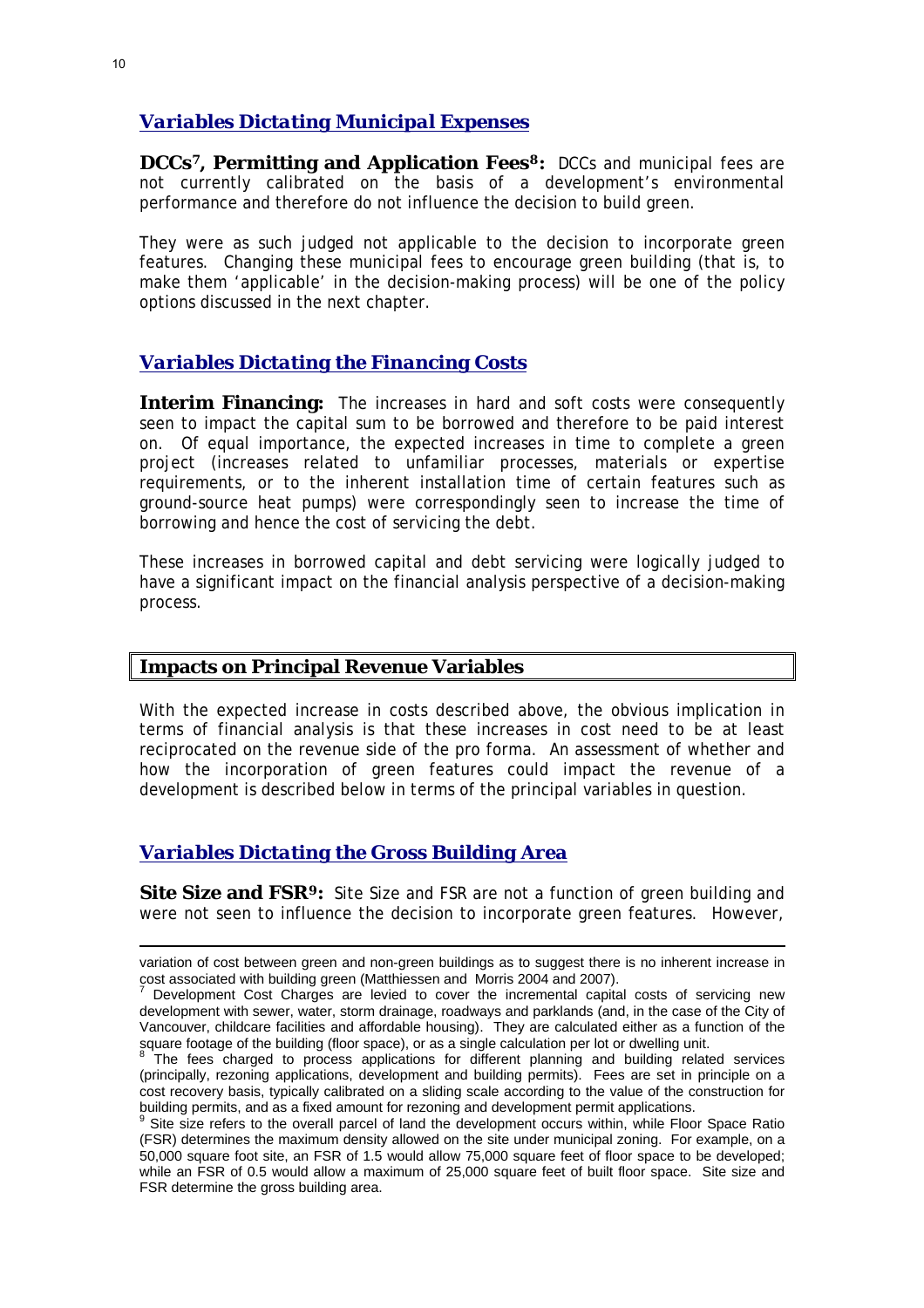#### *Variables Dictating Municipal Expenses*

**DCCs[7](#page-10-0), Permitting and Application Fees[8](#page-10-1):** DCCs and municipal fees are not currently calibrated on the basis of a development's environmental performance and therefore do not influence the decision to build green.

They were as such judged not applicable to the decision to incorporate green features. Changing these municipal fees to encourage green building (that is, to make them 'applicable' in the decision-making process) will be one of the policy options discussed in the next chapter.

#### *Variables Dictating the Financing Costs*

**Interim Financing:** The increases in hard and soft costs were consequently seen to impact the capital sum to be borrowed and therefore to be paid interest on. Of equal importance, the expected increases in time to complete a green project (increases related to unfamiliar processes, materials or expertise requirements, or to the inherent installation time of certain features such as ground-source heat pumps) were correspondingly seen to increase the time of borrowing and hence the cost of servicing the debt.

These increases in borrowed capital and debt servicing were logically judged to have a significant impact on the financial analysis perspective of a decision-making process.

#### **Impacts on Principal Revenue Variables**

With the expected increase in costs described above, the obvious implication in terms of financial analysis is that these increases in cost need to be at least reciprocated on the revenue side of the pro forma. An assessment of whether and how the incorporation of green features could impact the revenue of a development is described below in terms of the principal variables in question.

#### *Variables Dictating the Gross Building Area*

**Site Size and FSR[9](#page-10-2):** Site Size and FSR are not a function of green building and were not seen to influence the decision to incorporate green features. However,

1

variation of cost between green and non-green buildings as to suggest there is no inherent increase in cost associated with building green (Matthiessen and Morris 2004 and 2007).

<span id="page-10-0"></span>Development Cost Charges are levied to cover the incremental capital costs of servicing new development with sewer, water, storm drainage, roadways and parklands (and, in the case of the City of Vancouver, childcare facilities and affordable housing). They are calculated either as a function of the square footage of the building (floor space), or as a single calculation per lot or dwelling unit.

<span id="page-10-1"></span>The fees charged to process applications for different planning and building related services (principally, rezoning applications, development and building permits). Fees are set in principle on a cost recovery basis, typically calibrated on a sliding scale according to the value of the construction for building permits, and as a fixed amount for rezoning and development permit applications.<br><sup>9</sup> Site size refers to the overall parcel of land the development occurs within, while Floor Space Ratio

<span id="page-10-2"></span><sup>(</sup>FSR) determines the maximum density allowed on the site under municipal zoning. For example, on a 50,000 square foot site, an FSR of 1.5 would allow 75,000 square feet of floor space to be developed; while an FSR of 0.5 would allow a maximum of 25,000 square feet of built floor space. Site size and FSR determine the gross building area.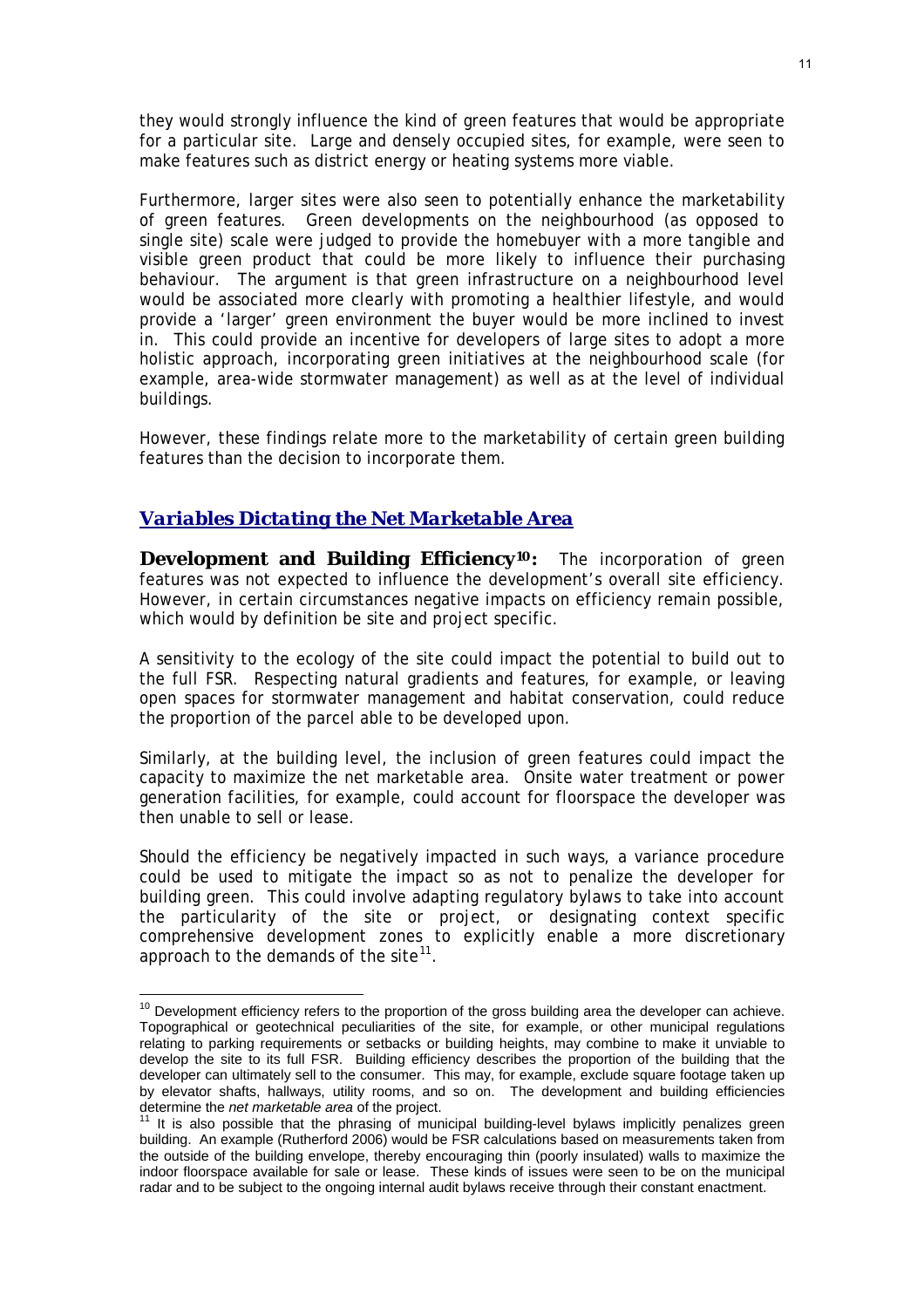they would strongly influence the kind of green features that would be appropriate for a particular site. Large and densely occupied sites, for example, were seen to make features such as district energy or heating systems more viable.

Furthermore, larger sites were also seen to potentially enhance the marketability of green features. Green developments on the neighbourhood (as opposed to single site) scale were judged to provide the homebuyer with a more tangible and visible green product that could be more likely to influence their purchasing behaviour. The argument is that green infrastructure on a neighbourhood level would be associated more clearly with promoting a healthier lifestyle, and would provide a 'larger' green environment the buyer would be more inclined to invest in. This could provide an incentive for developers of large sites to adopt a more holistic approach, incorporating green initiatives at the neighbourhood scale (for example, area-wide stormwater management) as well as at the level of individual buildings.

However, these findings relate more to the marketability of certain green building features than the decision to incorporate them.

#### *Variables Dictating the Net Marketable Area*

 $\overline{a}$ 

**Development and Building Efficiency[10](#page-11-0):** The incorporation of green features was not expected to influence the development's overall site efficiency. However, in certain circumstances negative impacts on efficiency remain possible, which would by definition be site and project specific.

A sensitivity to the ecology of the site could impact the potential to build out to the full FSR. Respecting natural gradients and features, for example, or leaving open spaces for stormwater management and habitat conservation, could reduce the proportion of the parcel able to be developed upon.

Similarly, at the building level, the inclusion of green features could impact the capacity to maximize the net marketable area. Onsite water treatment or power generation facilities, for example, could account for floorspace the developer was then unable to sell or lease.

Should the efficiency be negatively impacted in such ways, a variance procedure could be used to mitigate the impact so as not to penalize the developer for building green. This could involve adapting regulatory bylaws to take into account the particularity of the site or project, or designating context specific comprehensive development zones to explicitly enable a more discretionary approach to the demands of the site<sup>[11](#page-11-1)</sup>.

<span id="page-11-0"></span> $10$  Development efficiency refers to the proportion of the gross building area the developer can achieve. Topographical or geotechnical peculiarities of the site, for example, or other municipal regulations relating to parking requirements or setbacks or building heights, may combine to make it unviable to develop the site to its full FSR. Building efficiency describes the proportion of the building that the developer can ultimately sell to the consumer. This may, for example, exclude square footage taken up by elevator shafts, hallways, utility rooms, and so on. The development and building efficiencies determine the *net marketable area* of the project.<br><sup>11</sup> It is also possible that the phrasing of municipal building-level bylaws implicitly penalizes green

<span id="page-11-1"></span>building. An example (Rutherford 2006) would be FSR calculations based on measurements taken from the outside of the building envelope, thereby encouraging thin (poorly insulated) walls to maximize the indoor floorspace available for sale or lease. These kinds of issues were seen to be on the municipal radar and to be subject to the ongoing internal audit bylaws receive through their constant enactment.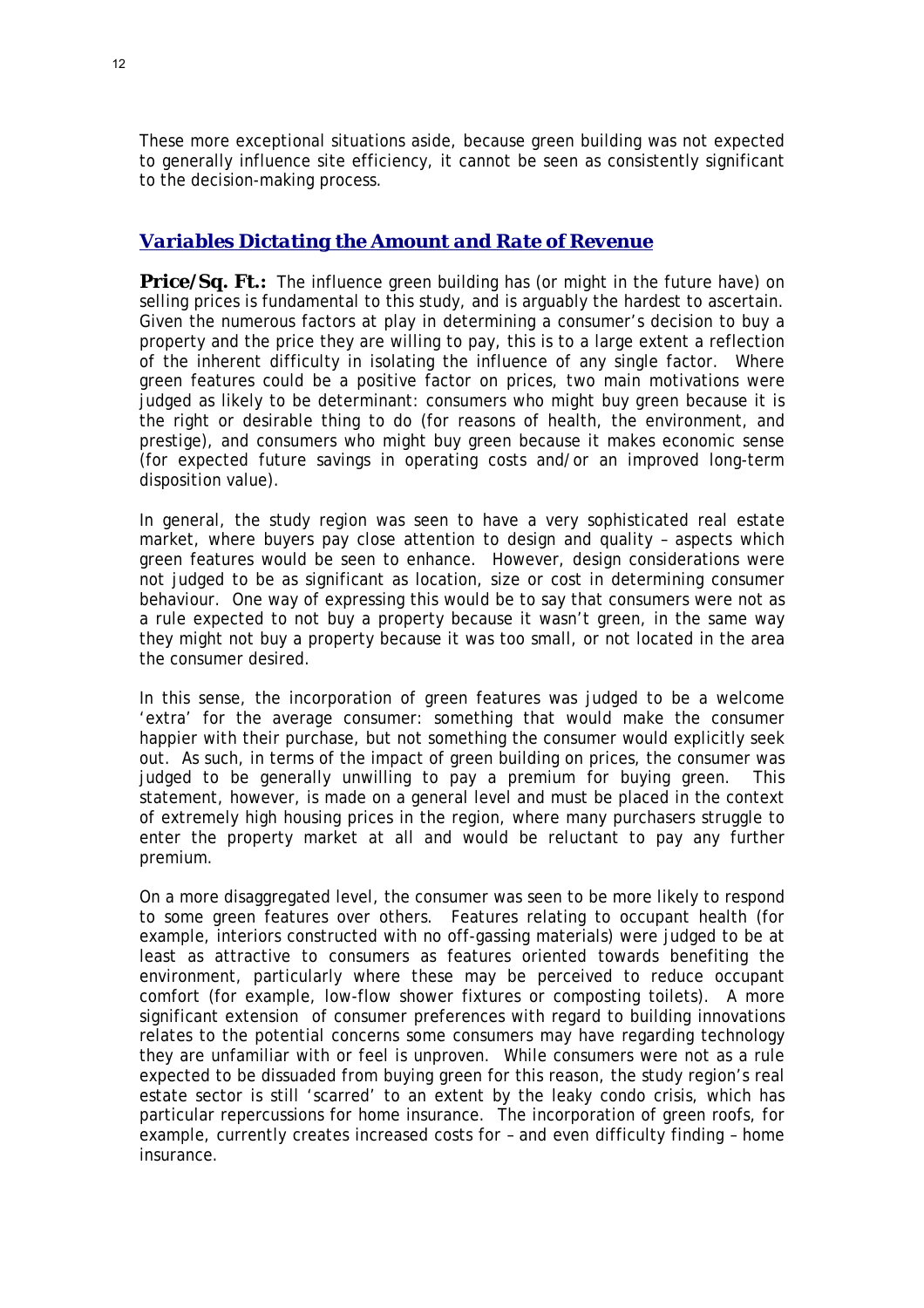These more exceptional situations aside, because green building was not expected to generally influence site efficiency, it cannot be seen as consistently significant to the decision-making process.

#### *Variables Dictating the Amount and Rate of Revenue*

**Price/Sq. Ft.:** The influence green building has (or might in the future have) on selling prices is fundamental to this study, and is arguably the hardest to ascertain. Given the numerous factors at play in determining a consumer's decision to buy a property and the price they are willing to pay, this is to a large extent a reflection of the inherent difficulty in isolating the influence of any single factor. Where green features could be a positive factor on prices, two main motivations were judged as likely to be determinant: consumers who might buy green because it is the right or desirable thing to do (for reasons of health, the environment, and prestige), and consumers who might buy green because it makes economic sense (for expected future savings in operating costs and/or an improved long-term disposition value).

In general, the study region was seen to have a very sophisticated real estate market, where buyers pay close attention to design and quality – aspects which green features would be seen to enhance. However, design considerations were not judged to be as significant as location, size or cost in determining consumer behaviour. One way of expressing this would be to say that consumers were not as a rule expected to *not* buy a property because it wasn't green, in the same way they might not buy a property because it was too small, or not located in the area the consumer desired.

In this sense, the incorporation of green features was judged to be a welcome 'extra' for the average consumer: something that would make the consumer happier with their purchase, but not something the consumer would explicitly seek out. As such, in terms of the impact of green building on prices, the consumer was judged to be generally unwilling to pay a premium for buying green. This statement, however, is made on a general level and must be placed in the context of extremely high housing prices in the region, where many purchasers struggle to enter the property market at all and would be reluctant to pay any further premium.

On a more disaggregated level, the consumer was seen to be more likely to respond to some green features over others. Features relating to occupant health (for example, interiors constructed with no off-gassing materials) were judged to be at least as attractive to consumers as features oriented towards benefiting the environment, particularly where these may be perceived to reduce occupant comfort (for example, low-flow shower fixtures or composting toilets). A more significant extension of consumer preferences with regard to building innovations relates to the potential concerns some consumers may have regarding technology they are unfamiliar with or feel is unproven. While consumers were not as a rule expected to be dissuaded from buying green for this reason, the study region's real estate sector is still 'scarred' to an extent by the leaky condo crisis, which has particular repercussions for home insurance. The incorporation of green roofs, for example, currently creates increased costs for – and even difficulty finding – home insurance.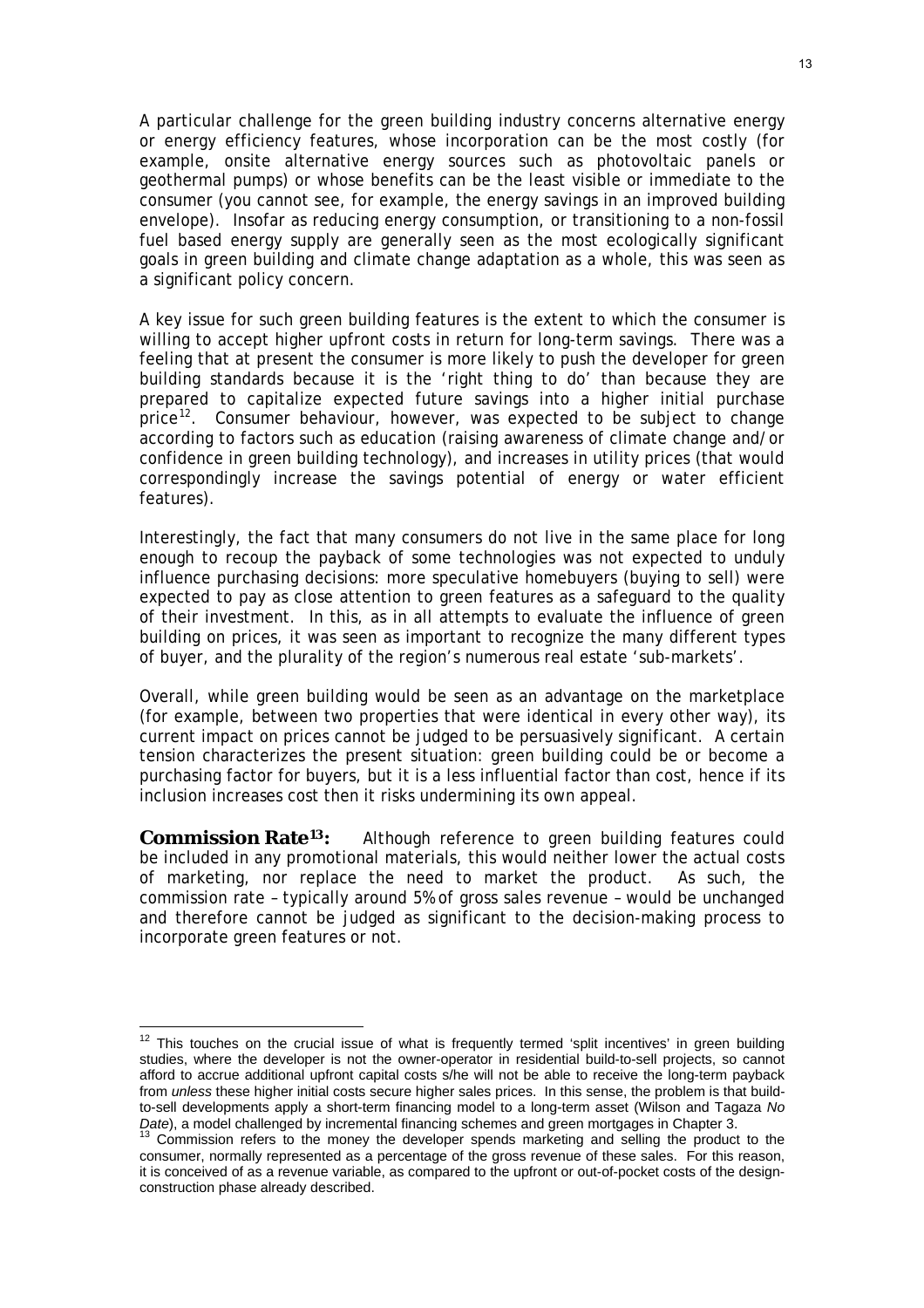A particular challenge for the green building industry concerns alternative energy or energy efficiency features, whose incorporation can be the most costly (for example, onsite alternative energy sources such as photovoltaic panels or geothermal pumps) or whose benefits can be the least visible or immediate to the consumer (you cannot see, for example, the energy savings in an improved building envelope). Insofar as reducing energy consumption, or transitioning to a non-fossil fuel based energy supply are generally seen as the most ecologically significant goals in green building and climate change adaptation as a whole, this was seen as a significant policy concern.

A key issue for such green building features is the extent to which the consumer is willing to accept higher upfront costs in return for long-term savings. There was a feeling that at present the consumer is more likely to push the developer for green building standards because it is the 'right thing to do' than because they are prepared to capitalize expected future savings into a higher initial purchase price<sup>[12](#page-13-0)</sup>. Consumer behaviour, however, was expected to be subject to change according to factors such as education (raising awareness of climate change and/or confidence in green building technology), and increases in utility prices (that would correspondingly increase the savings potential of energy or water efficient features).

Interestingly, the fact that many consumers do not live in the same place for long enough to recoup the payback of some technologies was not expected to unduly influence purchasing decisions: more speculative homebuyers (buying to sell) were expected to pay as close attention to green features as a safeguard to the quality of their investment. In this, as in all attempts to evaluate the influence of green building on prices, it was seen as important to recognize the many different types of buyer, and the plurality of the region's numerous real estate 'sub-markets'.

Overall, while green building would be seen as an advantage on the marketplace (for example, between two properties that were identical in *every* other way), its current impact on prices cannot be judged to be persuasively significant. A certain tension characterizes the present situation: green building could be or become a purchasing factor for buyers, but it is a less influential factor than cost, hence if its inclusion increases cost then it risks undermining its own appeal.

**Commission Rate<sup>[13](#page-13-1)</sup>**: Although reference to green building features could be included in any promotional materials, this would neither lower the actual costs of marketing, nor replace the need to market the product. As such, the commission rate – typically around 5% of gross sales revenue – would be unchanged and therefore cannot be judged as significant to the decision-making process to incorporate green features or not.

<span id="page-13-0"></span> $12$  This touches on the crucial issue of what is frequently termed 'split incentives' in green building studies, where the developer is not the owner-operator in residential build-to-sell projects, so cannot afford to accrue additional upfront capital costs s/he will not be able to receive the long-term payback from *unless* these higher initial costs secure higher sales prices. In this sense, the problem is that buildto-sell developments apply a short-term financing model to a long-term asset (Wilson and Tagaza *No* 

<span id="page-13-1"></span>*Date*), a model challenged by incremental financing schemes and green mortgages in Chapter 3.<br><sup>13</sup> Commission refers to the money the developer spends marketing and selling the product to the consumer, normally represented as a percentage of the gross revenue of these sales. For this reason, it is conceived of as a revenue variable, as compared to the upfront or out-of-pocket costs of the designconstruction phase already described.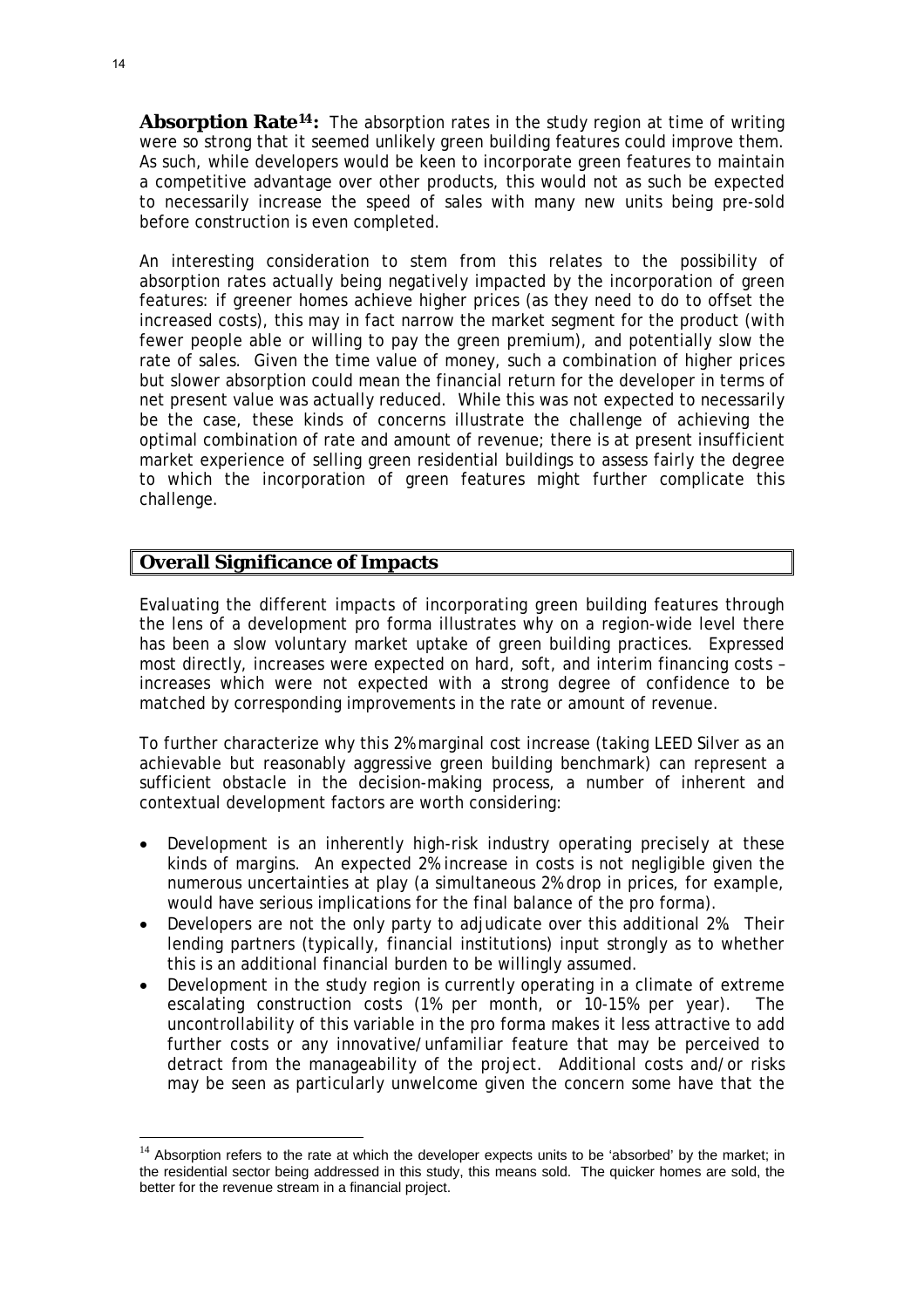**Absorption Rate[14](#page-14-0):** The absorption rates in the study region at time of writing were so strong that it seemed unlikely green building features could improve them. As such, while developers would be keen to incorporate green features to maintain a competitive advantage over other products, this would not as such be expected to necessarily increase the speed of sales with many new units being pre-sold before construction is even completed.

An interesting consideration to stem from this relates to the possibility of absorption rates actually being *negatively* impacted by the incorporation of green features: if greener homes achieve higher prices (as they need to do to offset the increased costs), this may in fact narrow the market segment for the product (with fewer people able or willing to pay the green premium), and potentially slow the rate of sales. Given the time value of money, such a combination of higher prices but slower absorption could mean the financial return for the developer in terms of net present value was actually reduced. While this was not expected to necessarily be the case, these kinds of concerns illustrate the challenge of achieving the optimal combination of rate and amount of revenue; there is at present insufficient market experience of selling green residential buildings to assess fairly the degree to which the incorporation of green features might further complicate this challenge.

#### **Overall Significance of Impacts**

Evaluating the different impacts of incorporating green building features through the lens of a development pro forma illustrates why on a region-wide level there has been a slow voluntary market uptake of green building practices. Expressed most directly, increases were expected on hard, soft, and interim financing costs – increases which were not expected with a strong degree of confidence to be matched by corresponding improvements in the rate or amount of revenue.

To further characterize why this 2% marginal cost increase (taking LEED Silver as an achievable but reasonably aggressive green building benchmark) can represent a sufficient obstacle in the decision-making process, a number of inherent and contextual development factors are worth considering:

- Development is an inherently high-risk industry operating precisely at these kinds of margins. An expected 2% increase in costs is not negligible given the numerous uncertainties at play (a simultaneous 2% drop in prices, for example, would have serious implications for the final balance of the pro forma).
- Developers are not the only party to adjudicate over this additional 2%. Their lending partners (typically, financial institutions) input strongly as to whether this is an additional financial burden to be willingly assumed.
- Development in the study region is currently operating in a climate of extreme escalating construction costs (1% per month, or 10-15% per year). The uncontrollability of this variable in the pro forma makes it less attractive to add further costs or any innovative/unfamiliar feature that may be perceived to detract from the manageability of the project. Additional costs and/or risks may be seen as particularly unwelcome given the concern some have that the

<span id="page-14-0"></span> $14$  Absorption refers to the rate at which the developer expects units to be 'absorbed' by the market; in the residential sector being addressed in this study, this means sold. The quicker homes are sold, the better for the revenue stream in a financial project.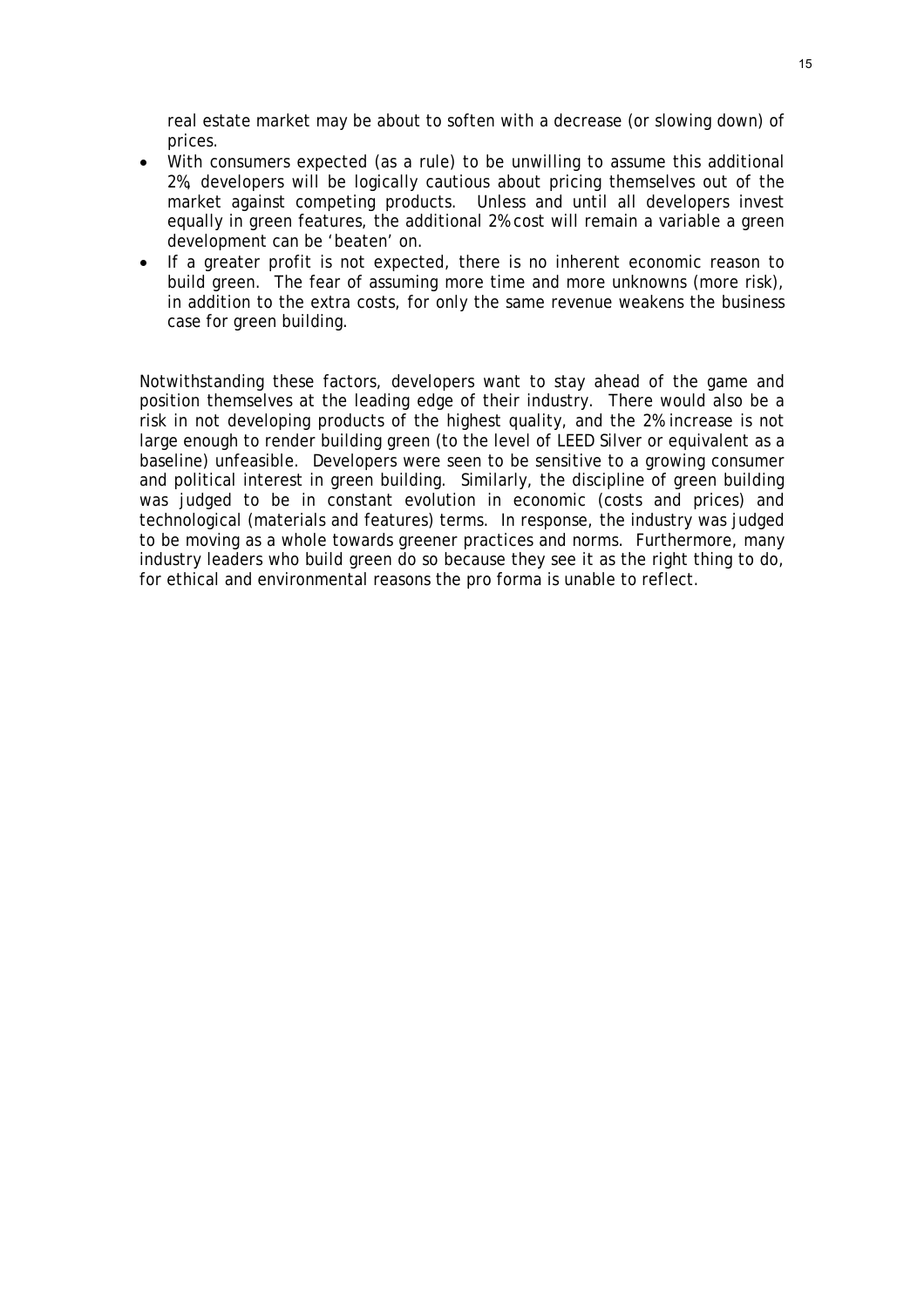real estate market may be about to soften with a decrease (or slowing down) of prices.

- With consumers expected (as a rule) to be unwilling to assume this additional 2%, developers will be logically cautious about pricing themselves out of the market against competing products. Unless and until all developers invest equally in green features, the additional 2% cost will remain a variable a green development can be 'beaten' on.
- If a greater profit is not expected, there is no inherent economic reason to build green. The fear of assuming more time and more unknowns (more risk), in addition to the extra costs, for only the same revenue weakens the business case for green building.

Notwithstanding these factors, developers want to stay ahead of the game and position themselves at the leading edge of their industry. There would also be a risk in not developing products of the highest quality, and the 2% increase is not large enough to render building green (to the level of LEED Silver or equivalent as a baseline) unfeasible. Developers were seen to be sensitive to a growing consumer and political interest in green building. Similarly, the discipline of green building was judged to be in constant evolution in economic (costs and prices) and technological (materials and features) terms. In response, the industry was judged to be moving as a whole towards greener practices and norms. Furthermore, many industry leaders who build green do so because they see it as the right thing to do, for ethical and environmental reasons the pro forma is unable to reflect.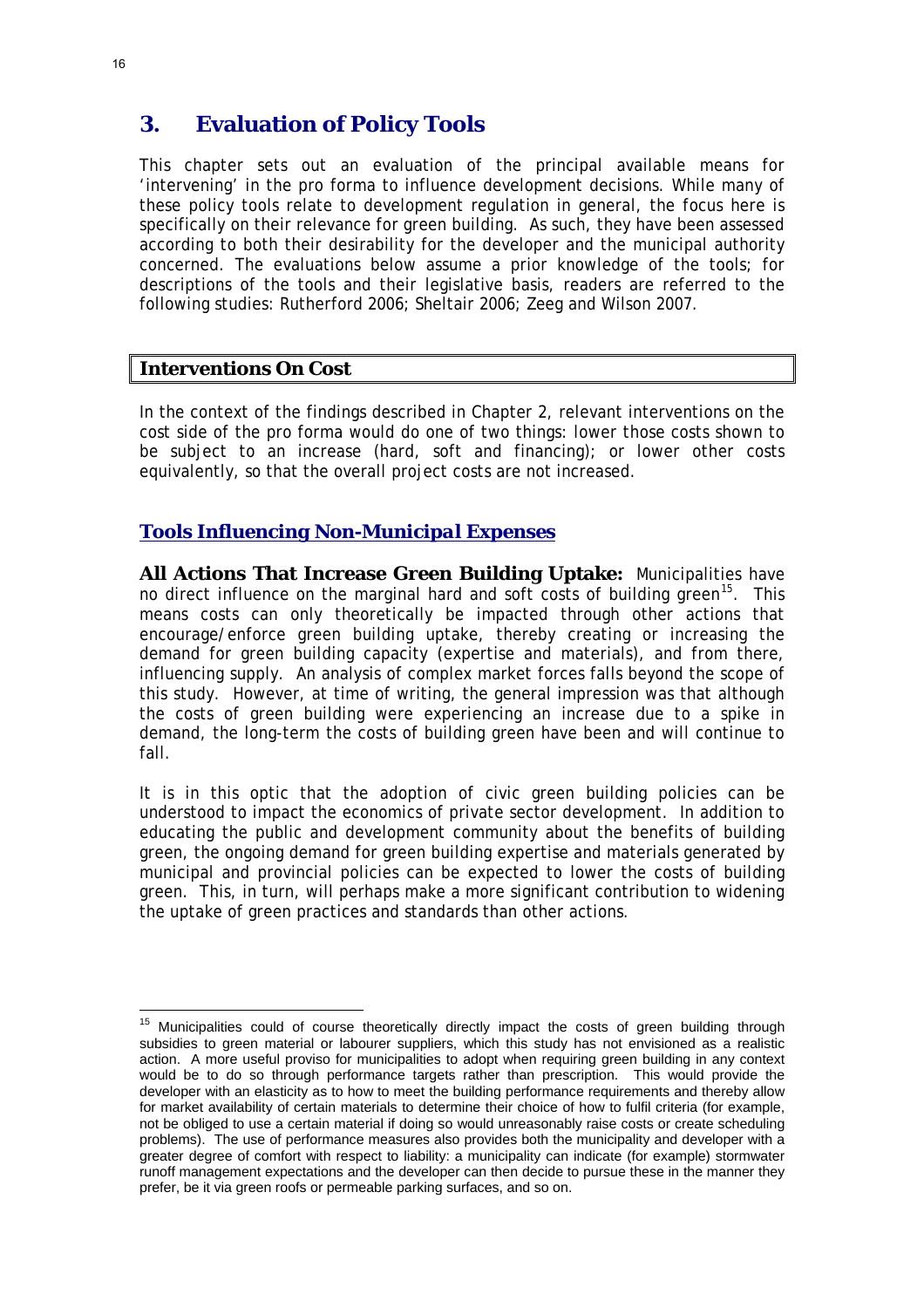# **3. Evaluation of Policy Tools**

This chapter sets out an evaluation of the principal available means for 'intervening' in the pro forma to influence development decisions. While many of these policy tools relate to development regulation in general, the focus here is specifically on their relevance for green building. As such, they have been assessed according to both their desirability for the developer *and* the municipal authority concerned. The evaluations below assume a prior knowledge of the tools; for descriptions of the tools and their legislative basis, readers are referred to the following studies: Rutherford 2006; Sheltair 2006; Zeeg and Wilson 2007.

#### **Interventions On Cost**

In the context of the findings described in Chapter 2, relevant interventions on the cost side of the pro forma would do one of two things: lower *those* costs shown to be subject to an increase (hard, soft and financing); or lower *other* costs equivalently, so that the overall project costs are not increased.

#### *Tools Influencing Non-Municipal Expenses*

**All Actions That Increase Green Building Uptake:** Municipalities have no direct influence on the marginal hard and soft costs of building green<sup>[15](#page-16-0)</sup>. This means costs can only theoretically be impacted through other actions that encourage/enforce green building uptake, thereby creating or increasing the demand for green building capacity (expertise and materials), and from there, influencing supply. An analysis of complex market forces falls beyond the scope of this study. However, at time of writing, the general impression was that although the costs of green building were experiencing an increase due to a spike in demand, the long-term the costs of building green have been and will continue to fall.

It is in this optic that the adoption of civic green building policies can be understood to impact the economics of private sector development. In addition to educating the public and development community about the benefits of building green, the ongoing demand for green building expertise and materials generated by municipal and provincial policies can be expected to lower the costs of building green. This, in turn, will perhaps make a more significant contribution to widening the uptake of green practices and standards than other actions.

<span id="page-16-0"></span><sup>&</sup>lt;sup>15</sup> Municipalities could of course theoretically directly impact the costs of green building through subsidies to green material or labourer suppliers, which this study has not envisioned as a realistic action. A more useful proviso for municipalities to adopt when requiring green building in any context would be to do so through performance targets rather than prescription. This would provide the developer with an elasticity as to how to meet the building performance requirements and thereby allow for market availability of certain materials to determine their choice of how to fulfil criteria (for example, not be obliged to use a certain material if doing so would unreasonably raise costs or create scheduling problems). The use of performance measures also provides both the municipality and developer with a greater degree of comfort with respect to liability: a municipality can indicate (for example) stormwater runoff management expectations and the developer can then decide to pursue these in the manner they prefer, be it via green roofs or permeable parking surfaces, and so on.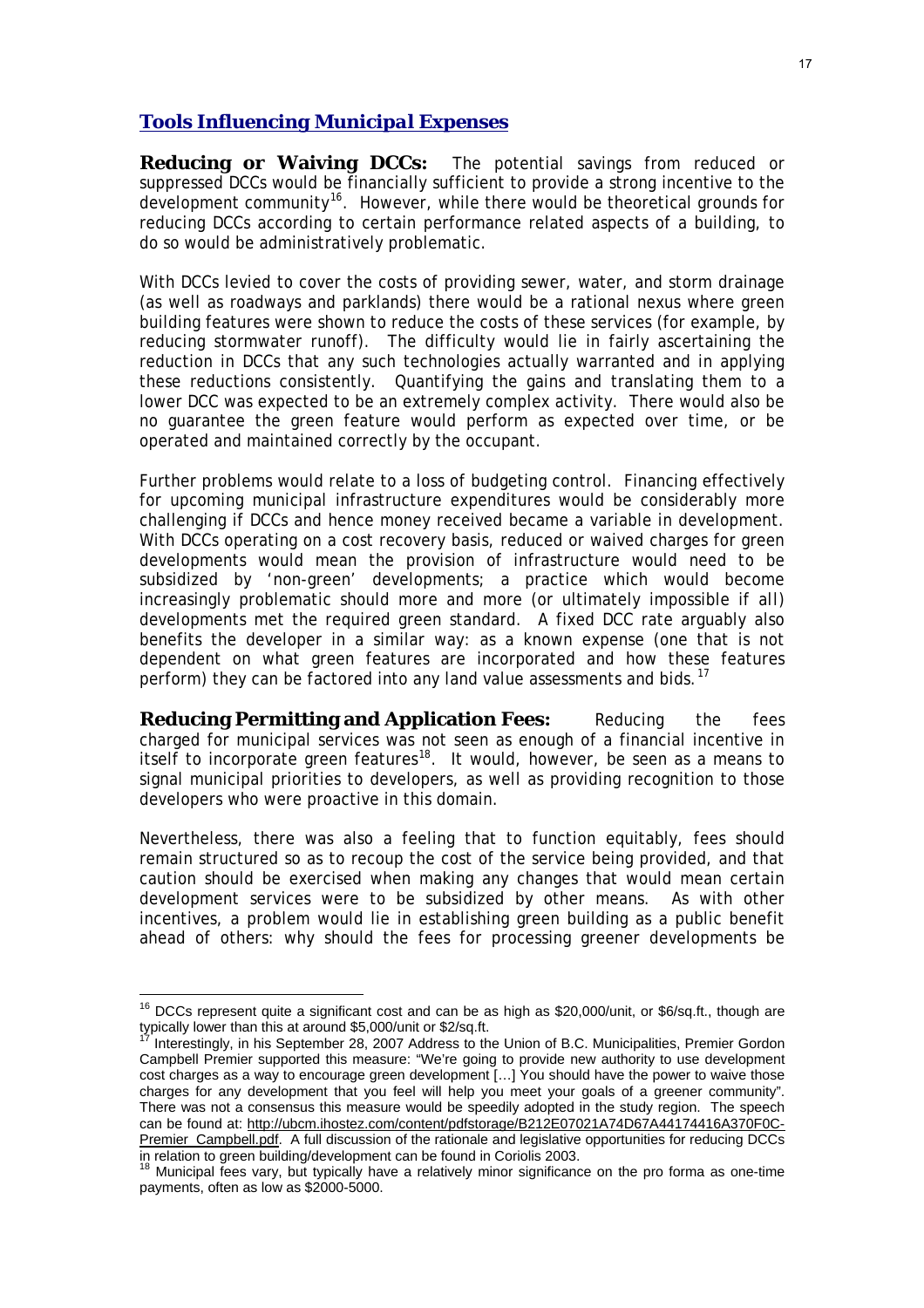#### *Tools Influencing Municipal Expenses*

**Reducing or Waiving DCCs:** The potential savings from reduced or suppressed DCCs would be financially sufficient to provide a strong incentive to the development community<sup>[16](#page-17-0)</sup>. However, while there would be theoretical grounds for reducing DCCs according to certain performance related aspects of a building, to do so would be administratively problematic.

With DCCs levied to cover the costs of providing sewer, water, and storm drainage (as well as roadways and parklands) there would be a rational nexus where green building features were shown to reduce the costs of these services (for example, by reducing stormwater runoff). The difficulty would lie in fairly ascertaining the reduction in DCCs that any such technologies actually warranted and in applying these reductions consistently. Quantifying the gains and translating them to a lower DCC was expected to be an extremely complex activity. There would also be no guarantee the green feature would perform as expected over time, or be operated and maintained correctly by the occupant.

Further problems would relate to a loss of budgeting control. Financing effectively for upcoming municipal infrastructure expenditures would be considerably more challenging if DCCs and hence money received became a variable in development. With DCCs operating on a cost recovery basis, reduced or waived charges for green developments would mean the provision of infrastructure would need to be subsidized by 'non-green' developments; a practice which would become increasingly problematic should more and more (or ultimately impossible if *all*) developments met the required green standard. A fixed DCC rate arguably also benefits the developer in a similar way: as a known expense (one that is not dependent on what green features are incorporated and how these features perform) they can be factored into any land value assessments and bids.<sup>[17](#page-17-1)</sup>

**Reducing Permitting and Application Fees:** Reducing the fees charged for municipal services was not seen as enough of a financial incentive in itself to incorporate green features<sup>[18](#page-17-2)</sup>. It would, however, be seen as a means to signal municipal priorities to developers, as well as providing recognition to those developers who were proactive in this domain.

Nevertheless, there was also a feeling that to function equitably, fees should remain structured so as to recoup the cost of the service being provided, and that caution should be exercised when making any changes that would mean certain development services were to be subsidized by other means. As with other incentives, a problem would lie in establishing green building as a public benefit ahead of others: why should the fees for processing greener developments be

<span id="page-17-0"></span> $16$  DCCs represent quite a significant cost and can be as high as \$20,000/unit, or \$6/sq.ft., though are typically lower than this at around \$5,000/unit or \$2/sq.ft.

<span id="page-17-1"></span>Interestingly, in his September 28, 2007 Address to the Union of B.C. Municipalities, Premier Gordon Campbell Premier supported this measure: "We're going to provide new authority to use development cost charges as a way to encourage green development […] You should have the power to waive those charges for any development that you feel will help you meet your goals of a greener community". There was not a consensus this measure would be speedily adopted in the study region. The speech can be found at: [http://ubcm.ihostez.com/content/pdfstorage/B212E07021A74D67A44174416A370F0C-](http://ubcm.ihostez.com/content/pdfstorage/B212E07021A74D67A44174416A370F0C-Premier_Campbell.pdf)[Premier\\_Campbell.pdf](http://ubcm.ihostez.com/content/pdfstorage/B212E07021A74D67A44174416A370F0C-Premier_Campbell.pdf). A full discussion of the rationale and legislative opportunities for reducing DCCs in relation to green building/development can be found in Coriolis 2003.

<span id="page-17-2"></span>Municipal fees vary, but typically have a relatively minor significance on the pro forma as one-time payments, often as low as \$2000-5000.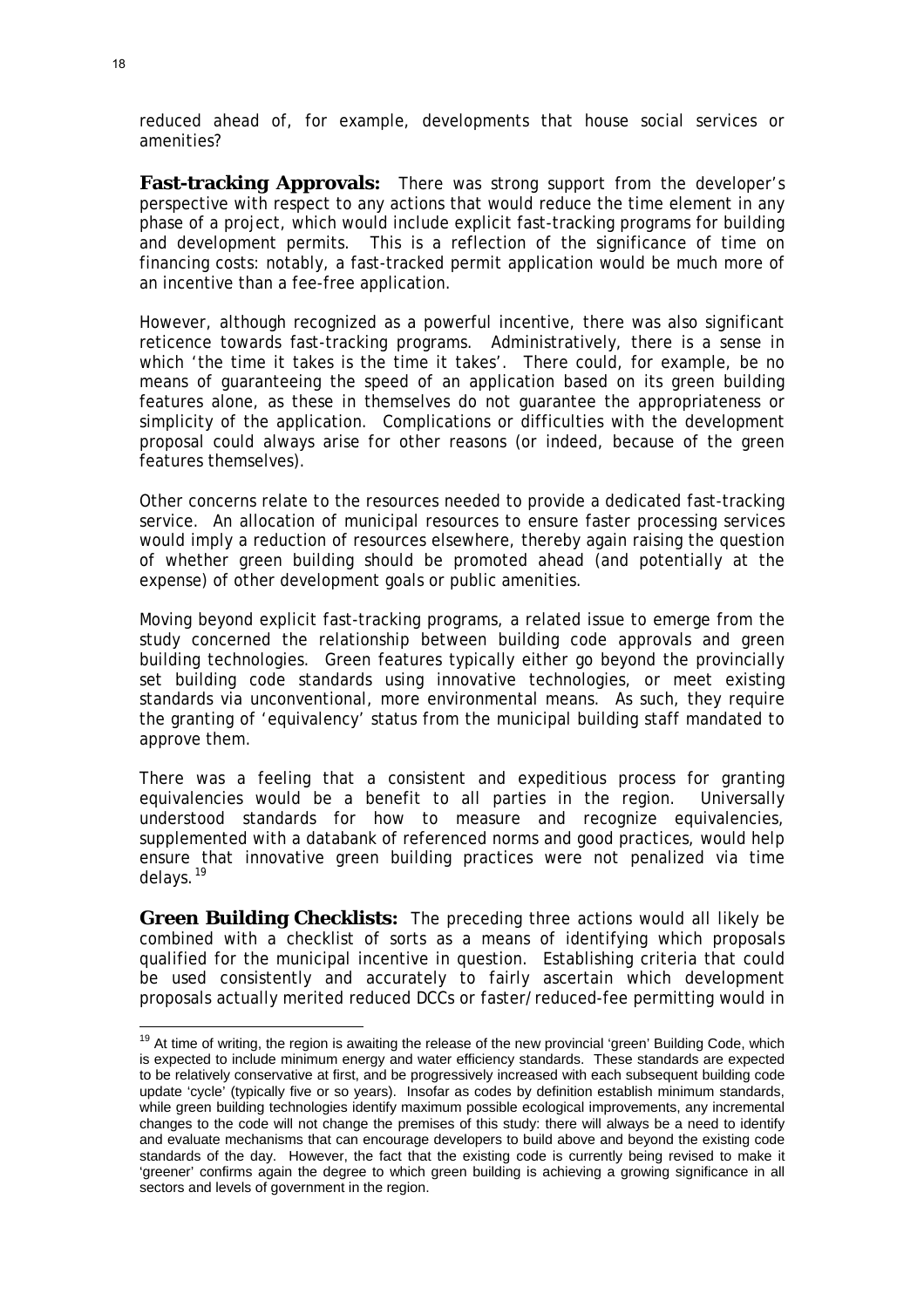reduced ahead of, for example, developments that house social services or amenities?

**Fast-tracking Approvals:** There was strong support from the developer's perspective with respect to any actions that would reduce the time element in any phase of a project, which would include explicit fast-tracking programs for building and development permits. This is a reflection of the significance of time on financing costs: notably, a fast-tracked permit application would be much more of an incentive than a fee-free application.

However, although recognized as a powerful incentive, there was also significant reticence towards fast-tracking programs. Administratively, there is a sense in which 'the time it takes is the time it takes'. There could, for example, be no means of guaranteeing the speed of an application based on its green building features alone, as these in themselves do not guarantee the appropriateness or simplicity of the application. Complications or difficulties with the development proposal could always arise for other reasons (or indeed, because of the green features themselves).

Other concerns relate to the resources needed to provide a dedicated fast-tracking service. An allocation of municipal resources to ensure faster processing services would imply a reduction of resources elsewhere, thereby again raising the question of whether green building should be promoted ahead (and potentially at the expense) of other development goals or public amenities.

Moving beyond explicit fast-tracking programs, a related issue to emerge from the study concerned the relationship between building code approvals and green building technologies. Green features typically either go beyond the provincially set building code standards using innovative technologies, or meet existing standards via unconventional, more environmental means. As such, they require the granting of 'equivalency' status from the municipal building staff mandated to approve them.

There was a feeling that a consistent and expeditious process for granting equivalencies would be a benefit to all parties in the region. Universally understood standards for how to measure and recognize equivalencies, supplemented with a databank of referenced norms and good practices, would help ensure that innovative green building practices were not penalized via time delays.<sup>[19](#page-18-0)</sup>

**Green Building Checklists:** The preceding three actions would all likely be combined with a checklist of sorts as a means of identifying which proposals qualified for the municipal incentive in question. Establishing criteria that could be used consistently and accurately to fairly ascertain which development proposals actually merited reduced DCCs or faster/reduced-fee permitting would in

<span id="page-18-0"></span><sup>&</sup>lt;sup>19</sup> At time of writing, the region is awaiting the release of the new provincial 'green' Building Code, which is expected to include minimum energy and water efficiency standards. These standards are expected to be relatively conservative at first, and be progressively increased with each subsequent building code update 'cycle' (typically five or so years). Insofar as codes by definition establish minimum standards, while green building technologies identify maximum possible ecological improvements, any incremental changes to the code will not change the premises of this study: there will always be a need to identify and evaluate mechanisms that can encourage developers to build above and beyond the existing code standards of the day. However, the fact that the existing code is currently being revised to make it 'greener' confirms again the degree to which green building is achieving a growing significance in all sectors and levels of government in the region.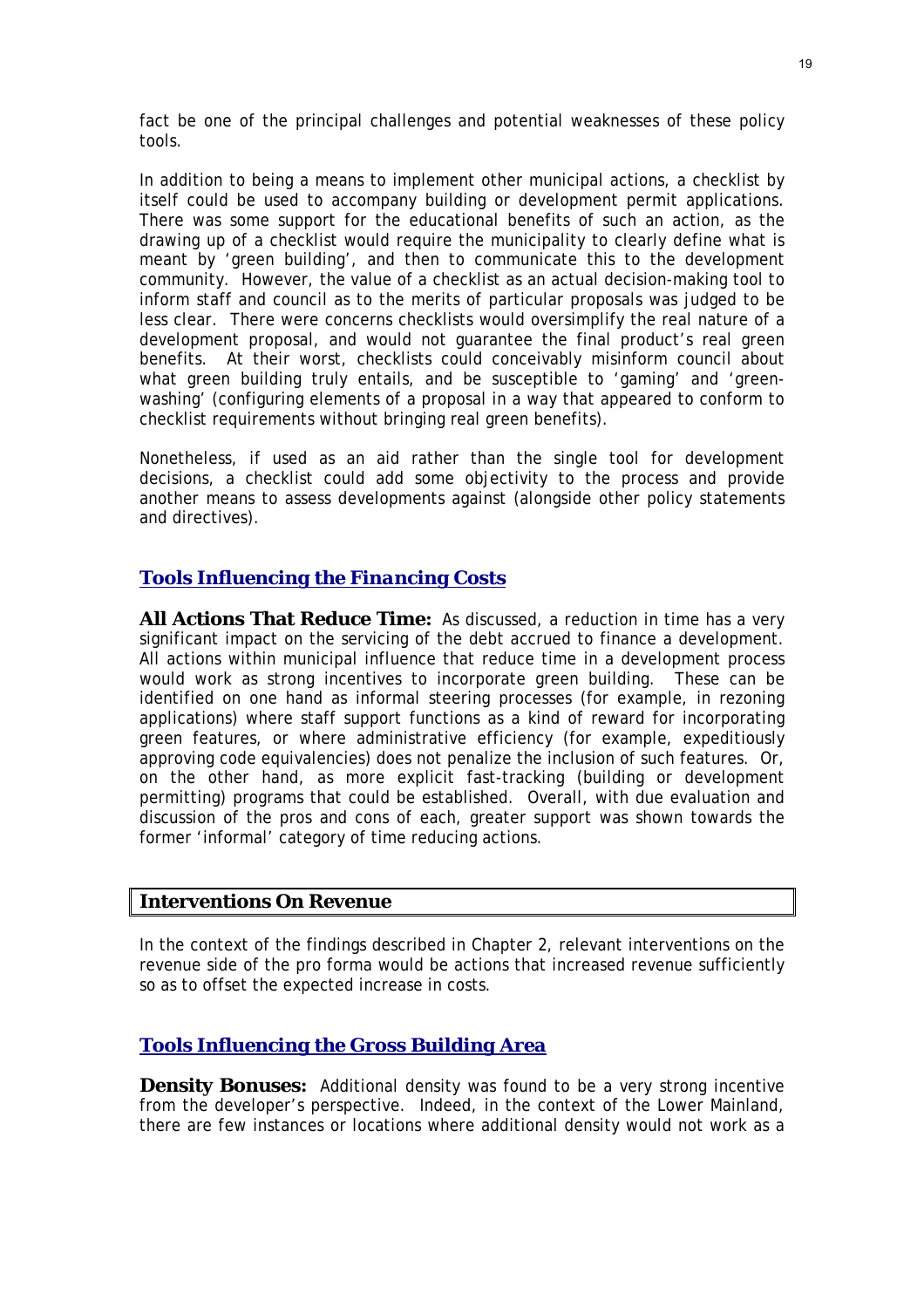fact be one of the principal challenges and potential weaknesses of these policy tools.

In addition to being a means to implement other municipal actions, a checklist by itself could be used to accompany building or development permit applications. There was some support for the educational benefits of such an action, as the drawing up of a checklist would require the municipality to clearly define what is meant by 'green building', and then to communicate this to the development community. However, the value of a checklist as an actual decision-making tool to inform staff and council as to the merits of particular proposals was judged to be less clear. There were concerns checklists would oversimplify the real nature of a development proposal, and would not guarantee the final product's real green benefits. At their worst, checklists could conceivably misinform council about what green building truly entails, and be susceptible to 'gaming' and 'greenwashing' (configuring elements of a proposal in a way that appeared to conform to checklist requirements without bringing real green benefits).

Nonetheless, if used as an aid rather than the single tool for development decisions, a checklist could add some objectivity to the process and provide another means to assess developments against (alongside other policy statements and directives).

#### *Tools Influencing the Financing Costs*

**All Actions That Reduce Time:** As discussed, a reduction in time has a very significant impact on the servicing of the debt accrued to finance a development. All actions within municipal influence that reduce time in a development process would work as strong incentives to incorporate green building. These can be identified on one hand as informal steering processes (for example, in rezoning applications) where staff support functions as a kind of reward for incorporating green features, or where administrative efficiency (for example, expeditiously approving code equivalencies) does not penalize the inclusion of such features. Or, on the other hand, as more explicit fast-tracking (building or development permitting) programs that could be established. Overall, with due evaluation and discussion of the pros and cons of each, greater support was shown towards the former 'informal' category of time reducing actions.

#### **Interventions On Revenue**

In the context of the findings described in Chapter 2, relevant interventions on the revenue side of the pro forma would be actions that increased revenue sufficiently so as to offset the expected increase in costs.

#### *Tools Influencing the Gross Building Area*

**Density Bonuses:** Additional density was found to be a very strong incentive from the developer's perspective. Indeed, in the context of the Lower Mainland, there are few instances or locations where additional density would not work as a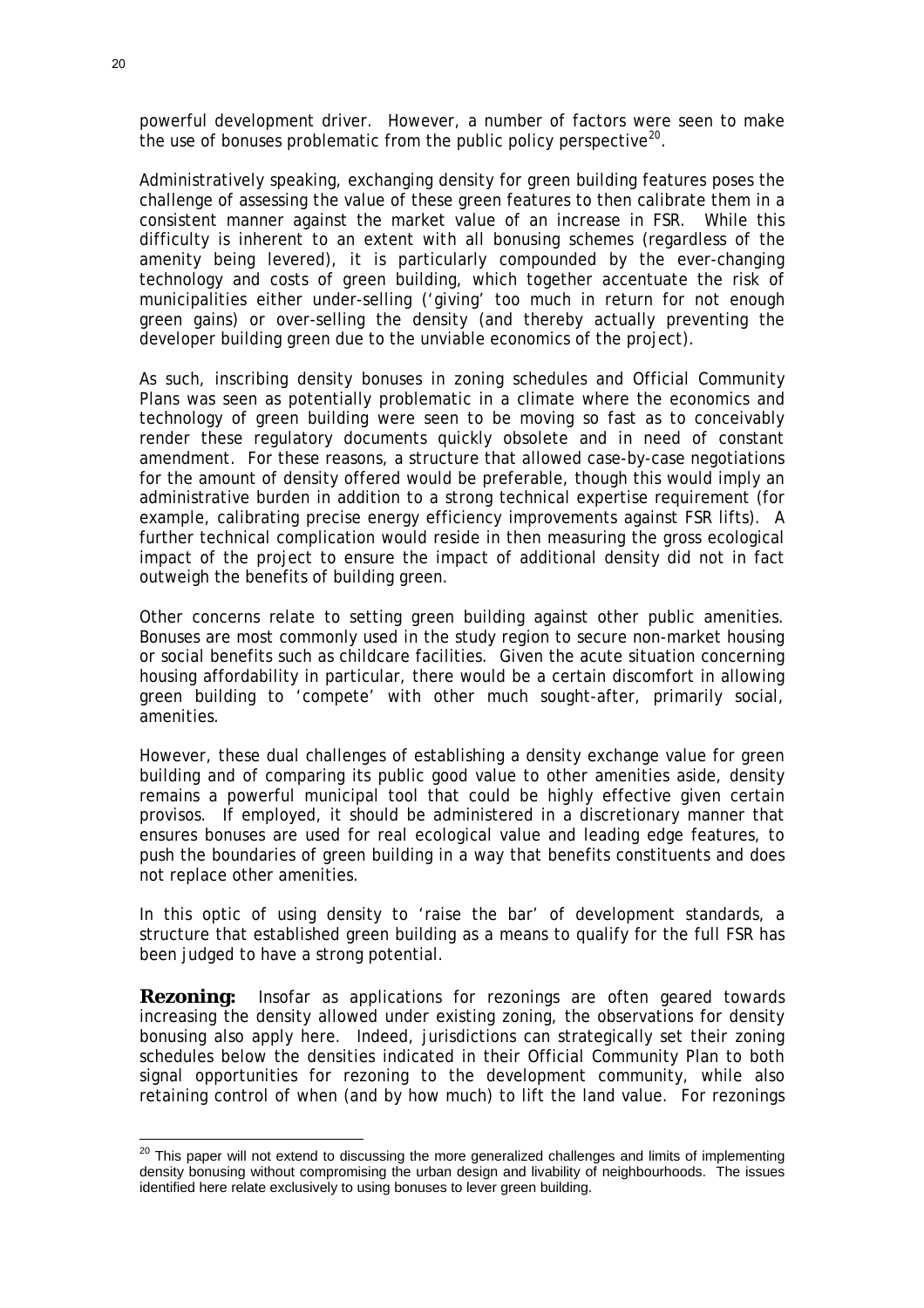powerful development driver. However, a number of factors were seen to make the use of bonuses problematic from the public policy perspective<sup>[20](#page-20-0)</sup>.

Administratively speaking, exchanging density for green building features poses the challenge of assessing the value of these green features to then calibrate them in a consistent manner against the market value of an increase in FSR. While this difficulty is inherent to an extent with all bonusing schemes (regardless of the amenity being levered), it is particularly compounded by the ever-changing technology and costs of green building, which together accentuate the risk of municipalities either under-selling ('giving' too much in return for not enough green gains) or over-selling the density (and thereby actually preventing the developer building green due to the unviable economics of the project).

As such, inscribing density bonuses in zoning schedules and Official Community Plans was seen as potentially problematic in a climate where the economics and technology of green building were seen to be moving so fast as to conceivably render these regulatory documents quickly obsolete and in need of constant amendment. For these reasons, a structure that allowed case-by-case negotiations for the amount of density offered would be preferable, though this would imply an administrative burden in addition to a strong technical expertise requirement (for example, calibrating precise energy efficiency improvements against FSR lifts). A further technical complication would reside in then measuring the gross ecological impact of the project to ensure the impact of additional density did not in fact outweigh the benefits of building green.

Other concerns relate to setting green building against other public amenities. Bonuses are most commonly used in the study region to secure non-market housing or social benefits such as childcare facilities. Given the acute situation concerning housing affordability in particular, there would be a certain discomfort in allowing green building to 'compete' with other much sought-after, primarily social, amenities.

However, these dual challenges of establishing a density exchange value for green building and of comparing its public good value to other amenities aside, density remains a powerful municipal tool that could be highly effective given certain provisos. If employed, it should be administered in a discretionary manner that ensures bonuses are used for real ecological value and leading edge features, to push the boundaries of green building in a way that benefits constituents and does not replace other amenities.

In this optic of using density to 'raise the bar' of development standards, a structure that established green building as a means to qualify for the full FSR has been judged to have a strong potential.

**Rezoning:** Insofar as applications for rezonings are often geared towards increasing the density allowed under existing zoning, the observations for density bonusing also apply here. Indeed, jurisdictions can strategically set their zoning schedules below the densities indicated in their Official Community Plan to both signal opportunities for rezoning to the development community, while also retaining control of when (and by how much) to lift the land value. For rezonings

<span id="page-20-0"></span> $20$  This paper will not extend to discussing the more generalized challenges and limits of implementing density bonusing without compromising the urban design and livability of neighbourhoods. The issues identified here relate exclusively to using bonuses to lever green building.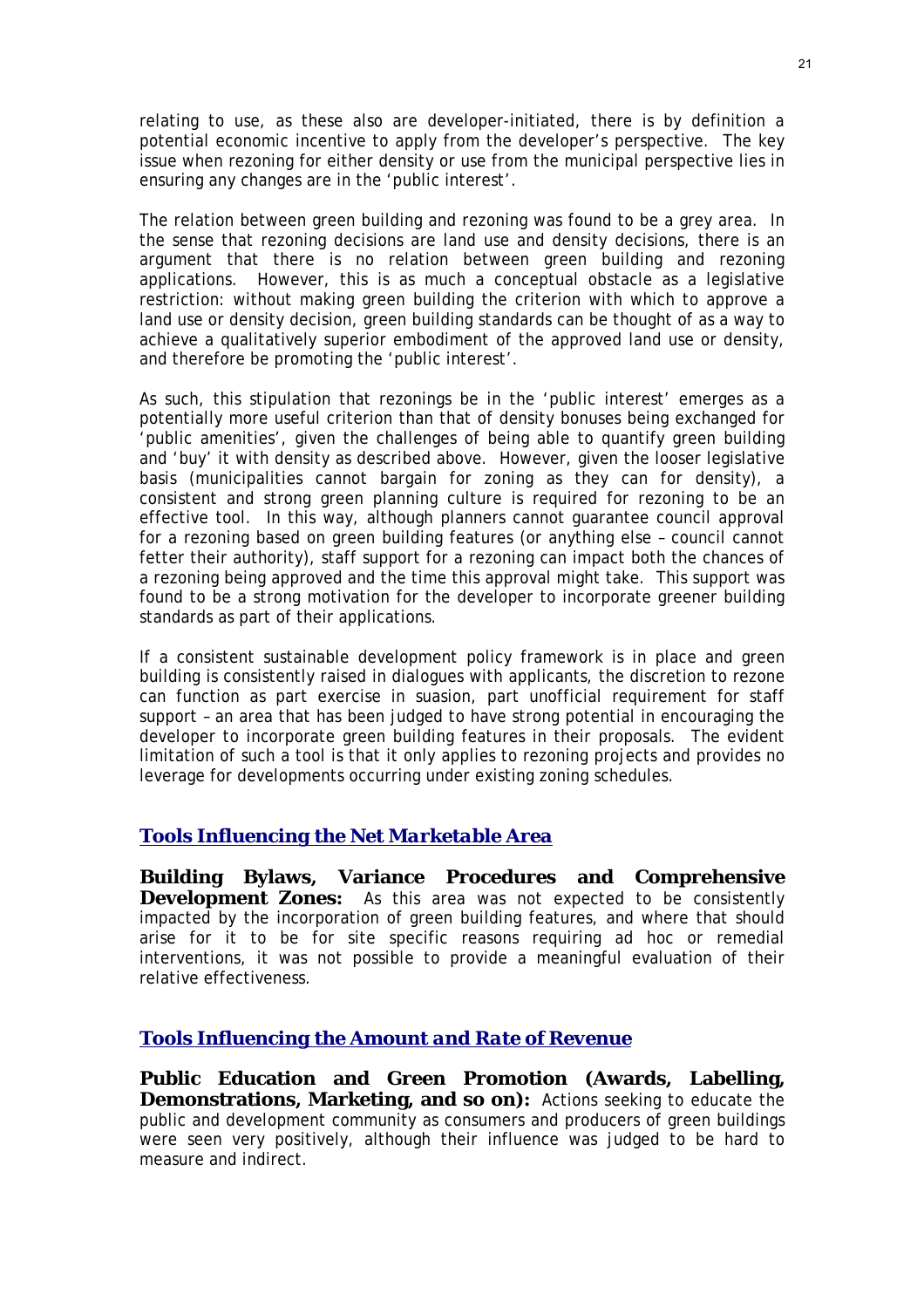relating to use, as these also are developer-initiated, there is by definition a potential economic incentive to apply from the developer's perspective. The key issue when rezoning for either density or use from the municipal perspective lies in ensuring any changes are in the 'public interest'.

The relation between green building and rezoning was found to be a grey area. In the sense that rezoning decisions are land use and density decisions, there is an argument that there is *no* relation between green building and rezoning applications. However, this is as much a conceptual obstacle as a legislative restriction: without making green building the criterion with which to approve a land use or density decision, green building standards can be thought of as a way to achieve a qualitatively superior embodiment of the approved land use or density, and therefore be promoting the 'public interest'.

As such, this stipulation that rezonings be in the 'public interest' emerges as a potentially more useful criterion than that of density bonuses being exchanged for 'public amenities', given the challenges of being able to quantify green building and 'buy' it with density as described above. However, given the looser legislative basis (municipalities cannot bargain for zoning as they can for density), a consistent and strong green planning culture is required for rezoning to be an effective tool. In this way, although planners cannot guarantee council approval for a rezoning based on green building features (or anything else – council cannot fetter their authority), staff support for a rezoning can impact both the chances of a rezoning being approved and the time this approval might take. This support was found to be a strong motivation for the developer to incorporate greener building standards as part of their applications.

If a consistent sustainable development policy framework is in place and green building is consistently raised in dialogues with applicants, the discretion to rezone can function as part exercise in suasion, part unofficial requirement for staff support – an area that has been judged to have strong potential in encouraging the developer to incorporate green building features in their proposals. The evident limitation of such a tool is that it only applies to rezoning projects and provides no leverage for developments occurring under existing zoning schedules.

#### *Tools Influencing the Net Marketable Area*

**Building Bylaws, Variance Procedures and Comprehensive Development Zones:** As this area was not expected to be consistently impacted by the incorporation of green building features, and where that should arise for it to be for site specific reasons requiring ad hoc or remedial interventions, it was not possible to provide a meaningful evaluation of their relative effectiveness.

#### *Tools Influencing the Amount and Rate of Revenue*

**Public Education and Green Promotion (Awards, Labelling, Demonstrations, Marketing, and so on):** Actions seeking to educate the public and development community as consumers and producers of green buildings were seen very positively, although their influence was judged to be hard to measure and indirect.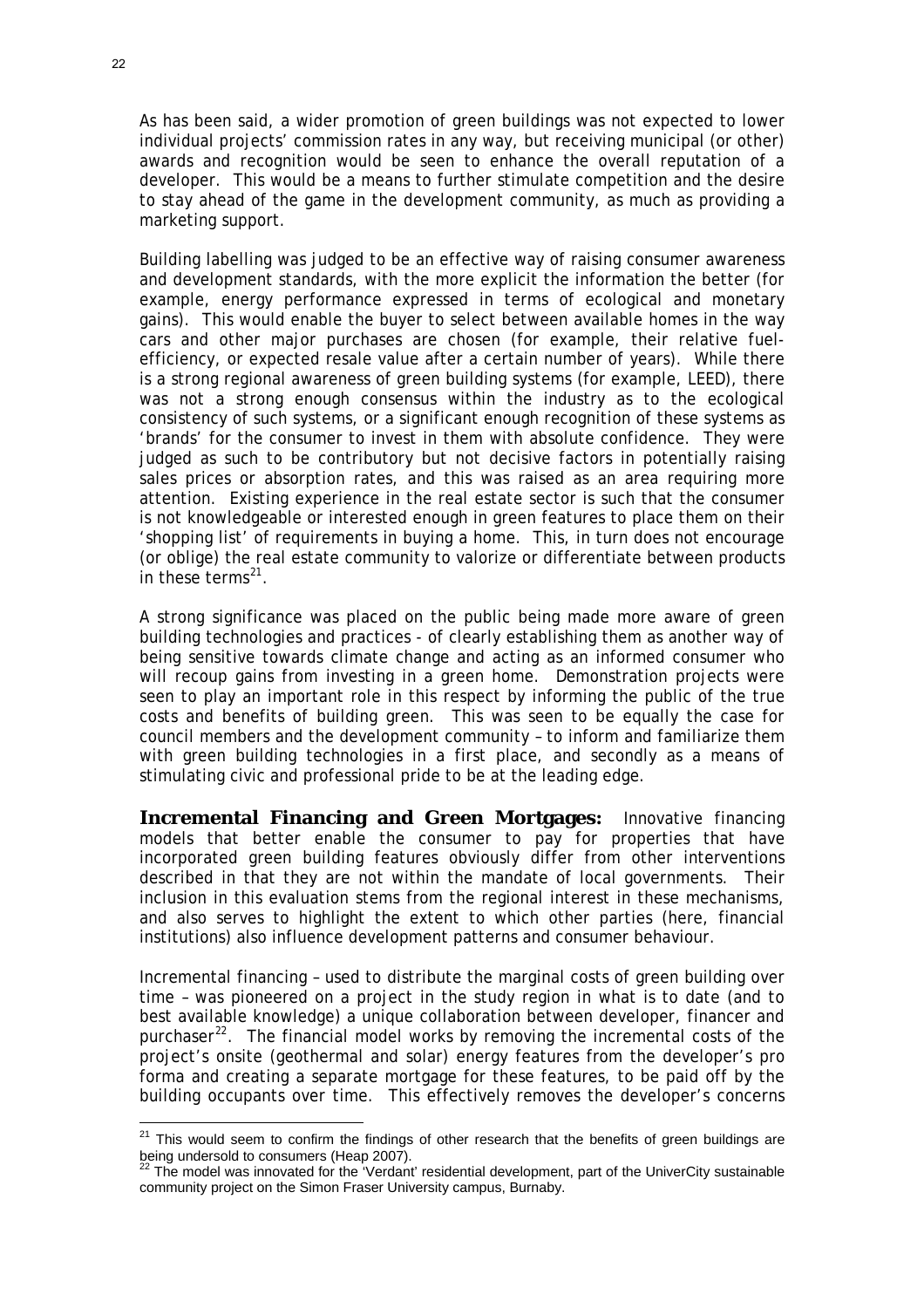As has been said, a wider promotion of green buildings was not expected to lower individual projects' commission rates in any way, but receiving municipal (or other) awards and recognition would be seen to enhance the overall reputation of a developer. This would be a means to further stimulate competition and the desire to stay ahead of the game in the development community, as much as providing a marketing support.

Building labelling was judged to be an effective way of raising consumer awareness and development standards, with the more explicit the information the better (for example, energy performance expressed in terms of ecological and monetary gains). This would enable the buyer to select between available homes in the way cars and other major purchases are chosen (for example, their relative fuelefficiency, or expected resale value after a certain number of years). While there is a strong regional awareness of green building systems (for example, LEED), there was not a strong enough consensus within the industry as to the ecological consistency of such systems, or a significant enough recognition of these systems as 'brands' for the consumer to invest in them with absolute confidence. They were judged as such to be contributory but not decisive factors in potentially raising sales prices or absorption rates, and this was raised as an area requiring more attention. Existing experience in the real estate sector is such that the consumer is not knowledgeable or interested enough in green features to place them on their 'shopping list' of requirements in buying a home. This, in turn does not encourage (or oblige) the real estate community to valorize or differentiate between products in these terms $^{21}$  $^{21}$  $^{21}$ .

A strong significance was placed on the public being made more aware of green building technologies and practices - of clearly establishing them as another way of being sensitive towards climate change and acting as an informed consumer who will recoup gains from investing in a green home. Demonstration projects were seen to play an important role in this respect by informing the public of the true costs and benefits of building green. This was seen to be equally the case for council members and the development community – to inform and familiarize them with green building technologies in a first place, and secondly as a means of stimulating civic and professional pride to be at the leading edge.

**Incremental Financing and Green Mortgages:** Innovative financing models that better enable the consumer to pay for properties that have incorporated green building features obviously differ from other interventions described in that they are not within the mandate of local governments. Their inclusion in this evaluation stems from the regional interest in these mechanisms, and also serves to highlight the extent to which other parties (here, financial institutions) also influence development patterns and consumer behaviour.

Incremental financing – used to distribute the marginal costs of green building over time – was pioneered on a project in the study region in what is to date (and to best available knowledge) a unique collaboration between developer, financer and purchaser $^{22}$  $^{22}$  $^{22}$ . The financial model works by removing the incremental costs of the project's onsite (geothermal and solar) energy features from the developer's pro forma and creating a separate mortgage for these features, to be paid off by the building occupants over time. This effectively removes the developer's concerns

<span id="page-22-0"></span> $21$  This would seem to confirm the findings of other research that the benefits of green buildings are being undersold to consumers (Heap 2007).

<span id="page-22-1"></span>The model was innovated for the 'Verdant' residential development, part of the UniverCity sustainable community project on the Simon Fraser University campus, Burnaby.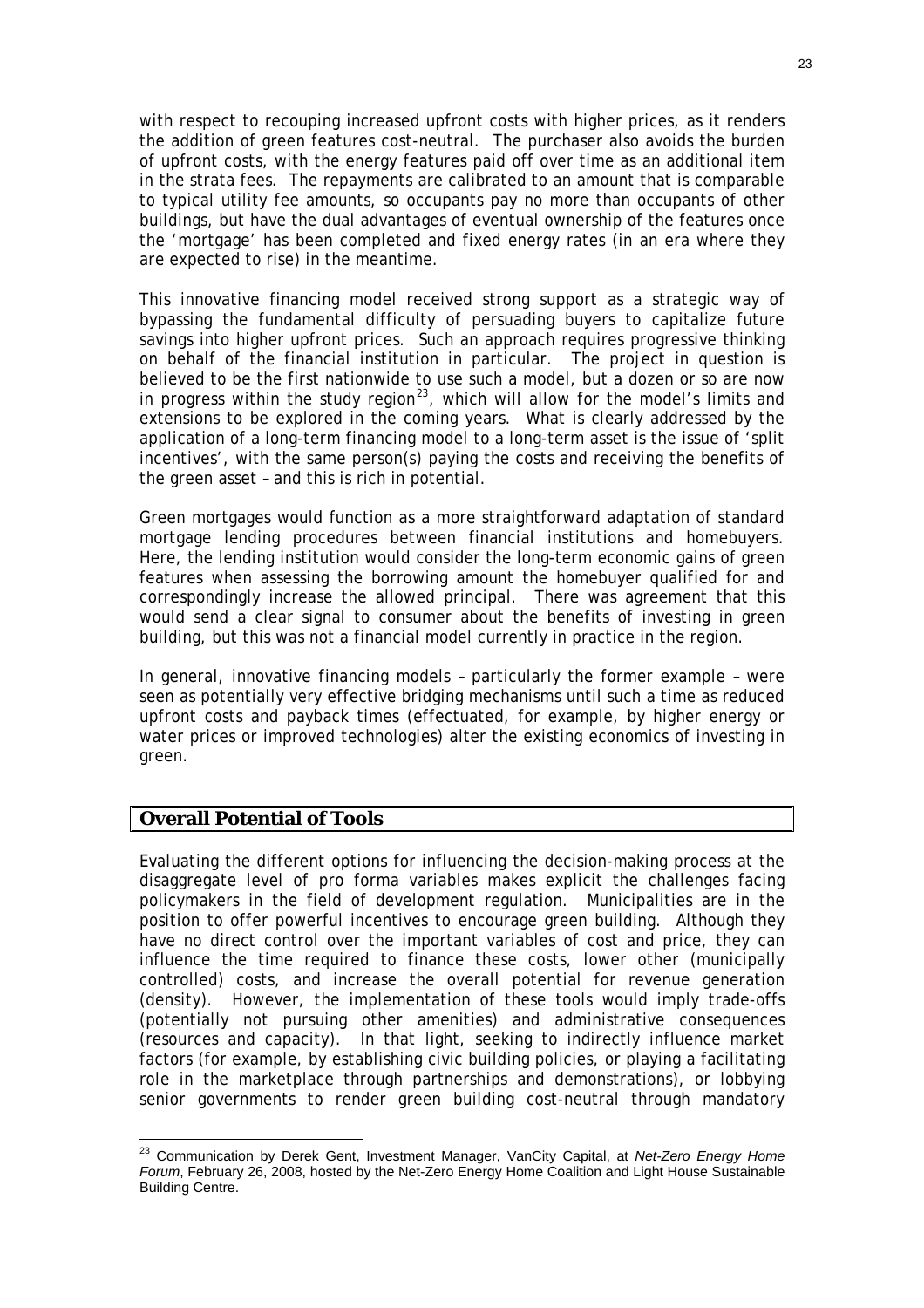with respect to recouping increased upfront costs with higher prices, as it renders the addition of green features cost-neutral. The purchaser also avoids the burden of upfront costs, with the energy features paid off over time as an additional item in the strata fees. The repayments are calibrated to an amount that is comparable to typical utility fee amounts, so occupants pay no more than occupants of other buildings, but have the dual advantages of eventual ownership of the features once the 'mortgage' has been completed and fixed energy rates (in an era where they are expected to rise) in the meantime.

This innovative financing model received strong support as a strategic way of bypassing the fundamental difficulty of persuading buyers to capitalize future savings into higher upfront prices. Such an approach requires progressive thinking on behalf of the financial institution in particular. The project in question is believed to be the first nationwide to use such a model, but a dozen or so are now in progress within the study region<sup>[23](#page-23-0)</sup>, which will allow for the model's limits and extensions to be explored in the coming years. What is clearly addressed by the application of a long-term financing model to a long-term asset is the issue of 'split incentives', with the same person(s) paying the costs and receiving the benefits of the green asset – and this is rich in potential.

Green mortgages would function as a more straightforward adaptation of standard mortgage lending procedures between financial institutions and homebuyers. Here, the lending institution would consider the long-term economic gains of green features when assessing the borrowing amount the homebuyer qualified for and correspondingly increase the allowed principal. There was agreement that this would send a clear signal to consumer about the benefits of investing in green building, but this was not a financial model currently in practice in the region.

In general, innovative financing models – particularly the former example – were seen as potentially very effective bridging mechanisms until such a time as reduced upfront costs and payback times (effectuated, for example, by higher energy or water prices or improved technologies) alter the existing economics of investing in green.

#### **Overall Potential of Tools**

 $\overline{a}$ 

Evaluating the different options for influencing the decision-making process at the disaggregate level of pro forma variables makes explicit the challenges facing policymakers in the field of development regulation. Municipalities are in the position to offer powerful incentives to encourage green building. Although they have no direct control over the important variables of cost and price, they can influence the time required to finance these costs, lower other (municipally controlled) costs, and increase the overall potential for revenue generation (density). However, the implementation of these tools would imply trade-offs (potentially not pursuing other amenities) and administrative consequences (resources and capacity). In that light, seeking to indirectly influence market factors (for example, by establishing civic building policies, or playing a facilitating role in the marketplace through partnerships and demonstrations), or lobbying senior governments to render green building cost-neutral through mandatory

<span id="page-23-0"></span><sup>23</sup> Communication by Derek Gent, Investment Manager, VanCity Capital, at *Net-Zero Energy Home Forum*, February 26, 2008, hosted by the Net-Zero Energy Home Coalition and Light House Sustainable Building Centre.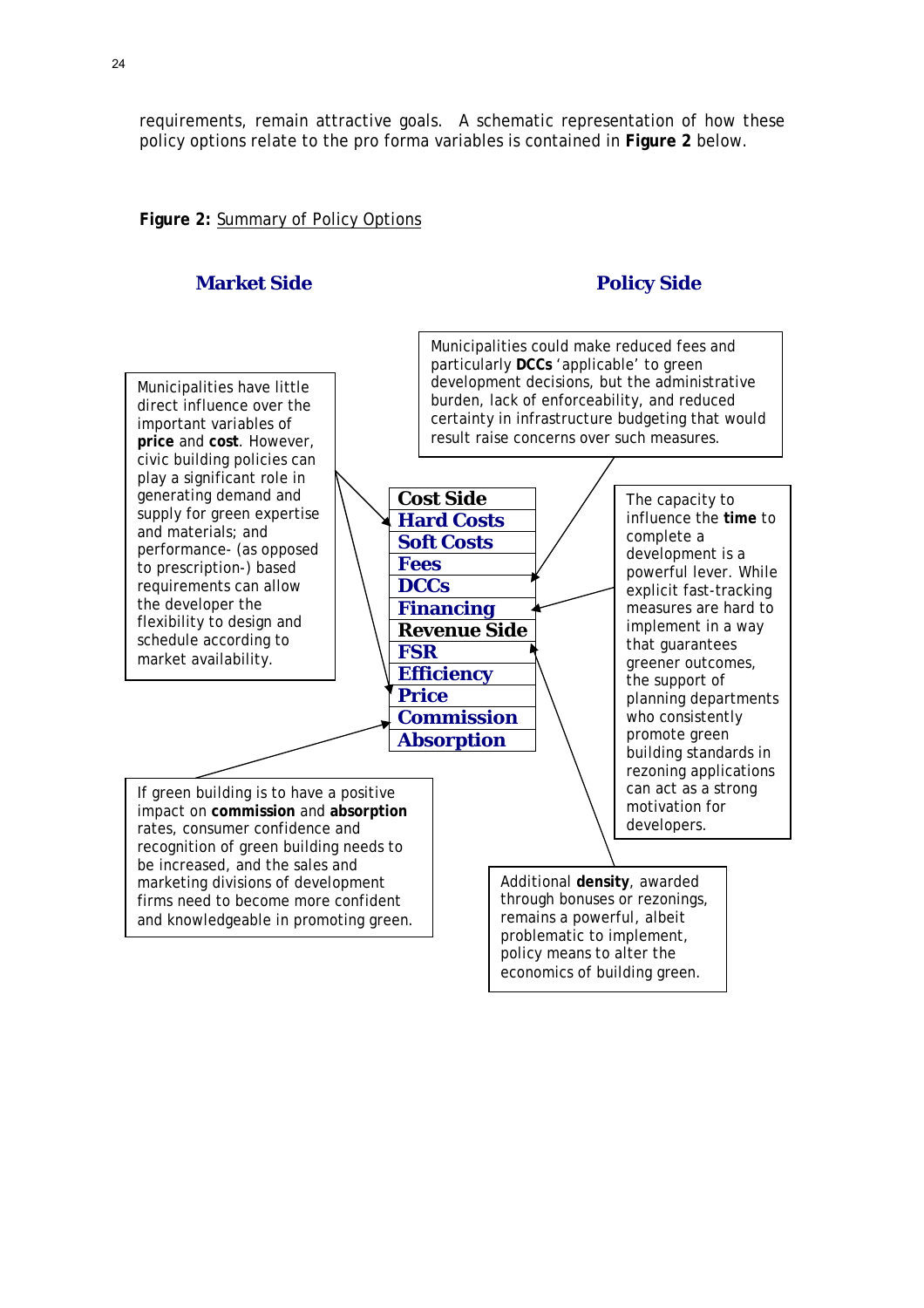requirements, remain attractive goals. A schematic representation of how these policy options relate to the pro forma variables is contained in **Figure 2** below.

#### **Figure 2:** Summary of Policy Options

#### **Market Side Policy Side Policy Side**

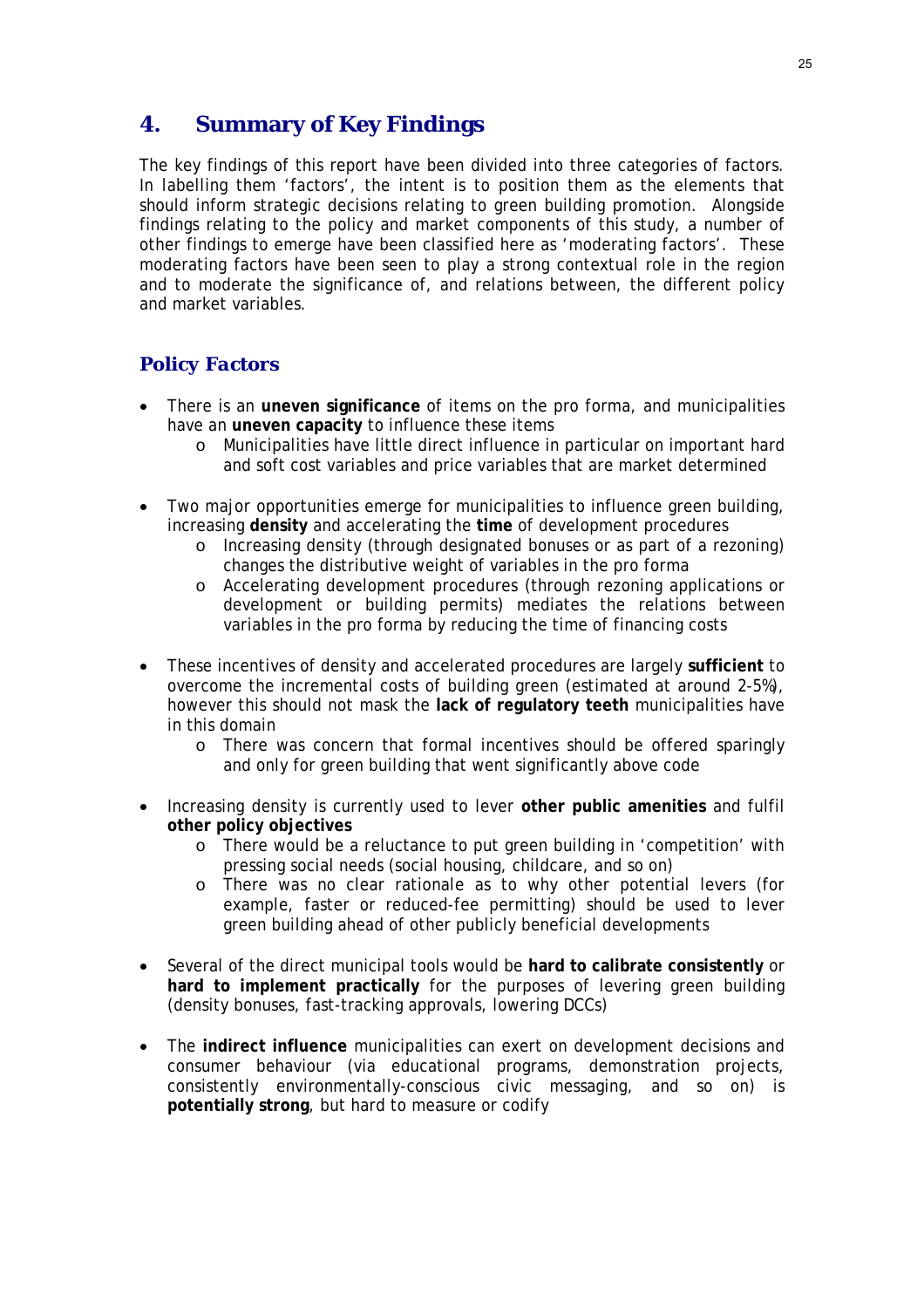# **4. Summary of Key Findings**

The key findings of this report have been divided into three categories of factors. In labelling them 'factors', the intent is to position them as the elements that should inform strategic decisions relating to green building promotion. Alongside findings relating to the policy and market components of this study, a number of other findings to emerge have been classified here as 'moderating factors'. These moderating factors have been seen to play a strong contextual role in the region and to moderate the significance of, and relations between, the different policy and market variables.

### *Policy Factors*

- There is an **uneven significance** of items on the pro forma, and municipalities have an **uneven capacity** to influence these items
	- o Municipalities have little direct influence in particular on important hard and soft cost variables and price variables that are market determined
- Two major opportunities emerge for municipalities to influence green building, increasing **density** and accelerating the **time** of development procedures
	- o Increasing density (through designated bonuses or as part of a rezoning) changes the distributive weight of variables in the pro forma
	- o Accelerating development procedures (through rezoning applications or development or building permits) mediates the relations between variables in the pro forma by reducing the time of financing costs
- These incentives of density and accelerated procedures are largely **sufficient** to overcome the incremental costs of building green (estimated at around 2-5%), however this should not mask the **lack of regulatory teeth** municipalities have in this domain
	- o There was concern that formal incentives should be offered sparingly and only for green building that went significantly above code
- Increasing density is currently used to lever **other public amenities** and fulfil **other policy objectives**
	- o There would be a reluctance to put green building in 'competition' with pressing social needs (social housing, childcare, and so on)
	- o There was no clear rationale as to why other potential levers (for example, faster or reduced-fee permitting) should be used to lever green building ahead of other publicly beneficial developments
- Several of the direct municipal tools would be **hard to calibrate consistently** or **hard to implement practically** for the purposes of levering green building (density bonuses, fast-tracking approvals, lowering DCCs)
- The **indirect influence** municipalities can exert on development decisions and consumer behaviour (via educational programs, demonstration projects, consistently environmentally-conscious civic messaging, and so on) is **potentially strong**, but hard to measure or codify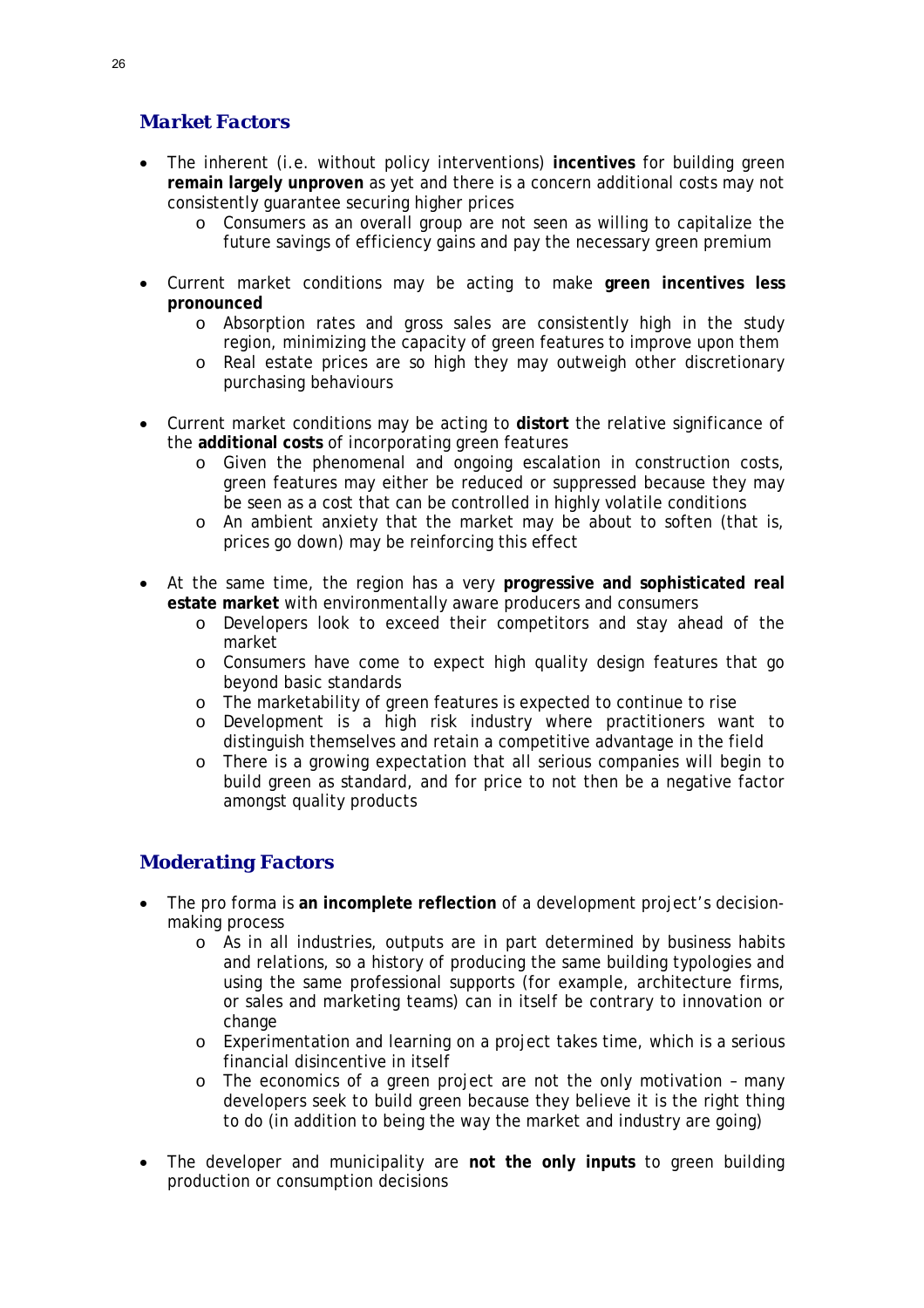## *Market Factors*

- The inherent (i.e. without policy interventions) **incentives** for building green **remain largely unproven** as yet and there is a concern additional costs may not consistently guarantee securing higher prices
	- o Consumers as an overall group are not seen as willing to capitalize the future savings of efficiency gains and pay the necessary green premium
- Current market conditions may be acting to make **green incentives less pronounced**
	- o Absorption rates and gross sales are consistently high in the study region, minimizing the capacity of green features to improve upon them
	- o Real estate prices are so high they may outweigh other discretionary purchasing behaviours
- Current market conditions may be acting to **distort** the relative significance of the **additional costs** of incorporating green features
	- o Given the phenomenal and ongoing escalation in construction costs, green features may either be reduced or suppressed because they may be seen as a cost that can be controlled in highly volatile conditions
	- $\circ$  An ambient anxiety that the market may be about to soften (that is, prices go down) may be reinforcing this effect
- At the same time, the region has a very **progressive and sophisticated real estate market** with environmentally aware producers and consumers
	- o Developers look to exceed their competitors and stay ahead of the market
	- o Consumers have come to expect high quality design features that go beyond basic standards
	- o The marketability of green features is expected to continue to rise
	- o Development is a high risk industry where practitioners want to distinguish themselves and retain a competitive advantage in the field
	- o There is a growing expectation that all serious companies will begin to build green as standard, and for price to not then be a negative factor amongst quality products

### *Moderating Factors*

- The pro forma is **an incomplete reflection** of a development project's decisionmaking process
	- o As in all industries, outputs are in part determined by business habits and relations, so a history of producing the same building typologies and using the same professional supports (for example, architecture firms, or sales and marketing teams) can in itself be contrary to innovation or change
	- o Experimentation and learning on a project takes time, which is a serious financial disincentive in itself
	- o The economics of a green project are not the only motivation many developers seek to build green because they believe it is the right thing to do (in addition to being the way the market and industry are going)
- The developer and municipality are **not the only inputs** to green building production or consumption decisions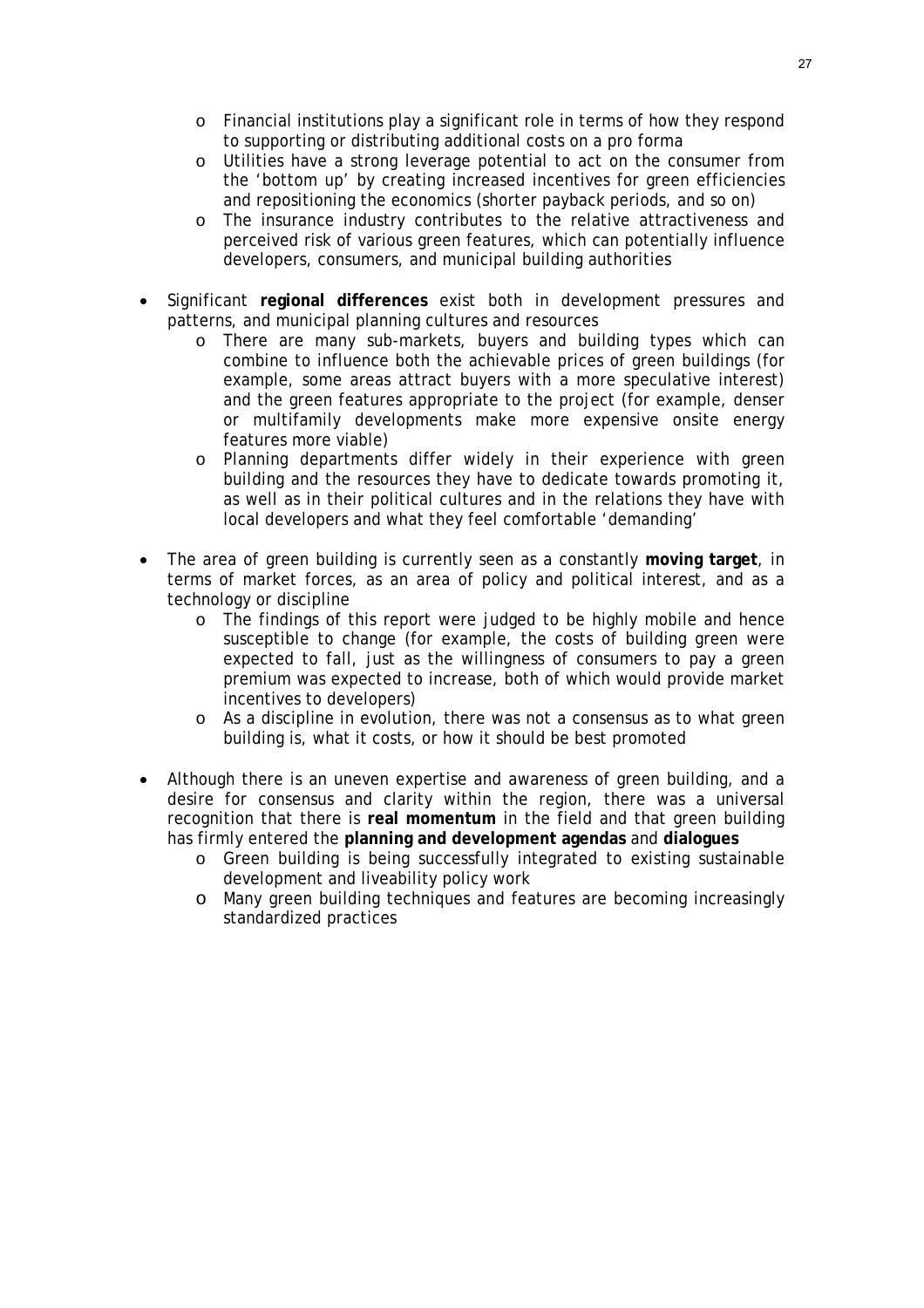- o Financial institutions play a significant role in terms of how they respond to supporting or distributing additional costs on a pro forma
- o Utilities have a strong leverage potential to act on the consumer from the 'bottom up' by creating increased incentives for green efficiencies and repositioning the economics (shorter payback periods, and so on)
- o The insurance industry contributes to the relative attractiveness and perceived risk of various green features, which can potentially influence developers, consumers, and municipal building authorities
- Significant **regional differences** exist both in development pressures and patterns, and municipal planning cultures and resources
	- o There are many sub-markets, buyers and building types which can combine to influence both the achievable prices of green buildings (for example, some areas attract buyers with a more speculative interest) and the green features appropriate to the project (for example, denser or multifamily developments make more expensive onsite energy features more viable)
	- o Planning departments differ widely in their experience with green building and the resources they have to dedicate towards promoting it, as well as in their political cultures and in the relations they have with local developers and what they feel comfortable 'demanding'
- The area of green building is currently seen as a constantly **moving target**, in terms of market forces, as an area of policy and political interest, and as a technology or discipline
	- o The findings of this report were judged to be highly mobile and hence susceptible to change (for example, the costs of building green were expected to fall, just as the willingness of consumers to pay a green premium was expected to increase, both of which would provide market incentives to developers)
	- o As a discipline in evolution, there was not a consensus as to what green building is, what it costs, or how it should be best promoted
- Although there is an uneven expertise and awareness of green building, and a desire for consensus and clarity within the region, there was a universal recognition that there is **real momentum** in the field and that green building has firmly entered the **planning and development agendas** and **dialogues**
	- o Green building is being successfully integrated to existing sustainable development and liveability policy work
	- o Many green building techniques and features are becoming increasingly standardized practices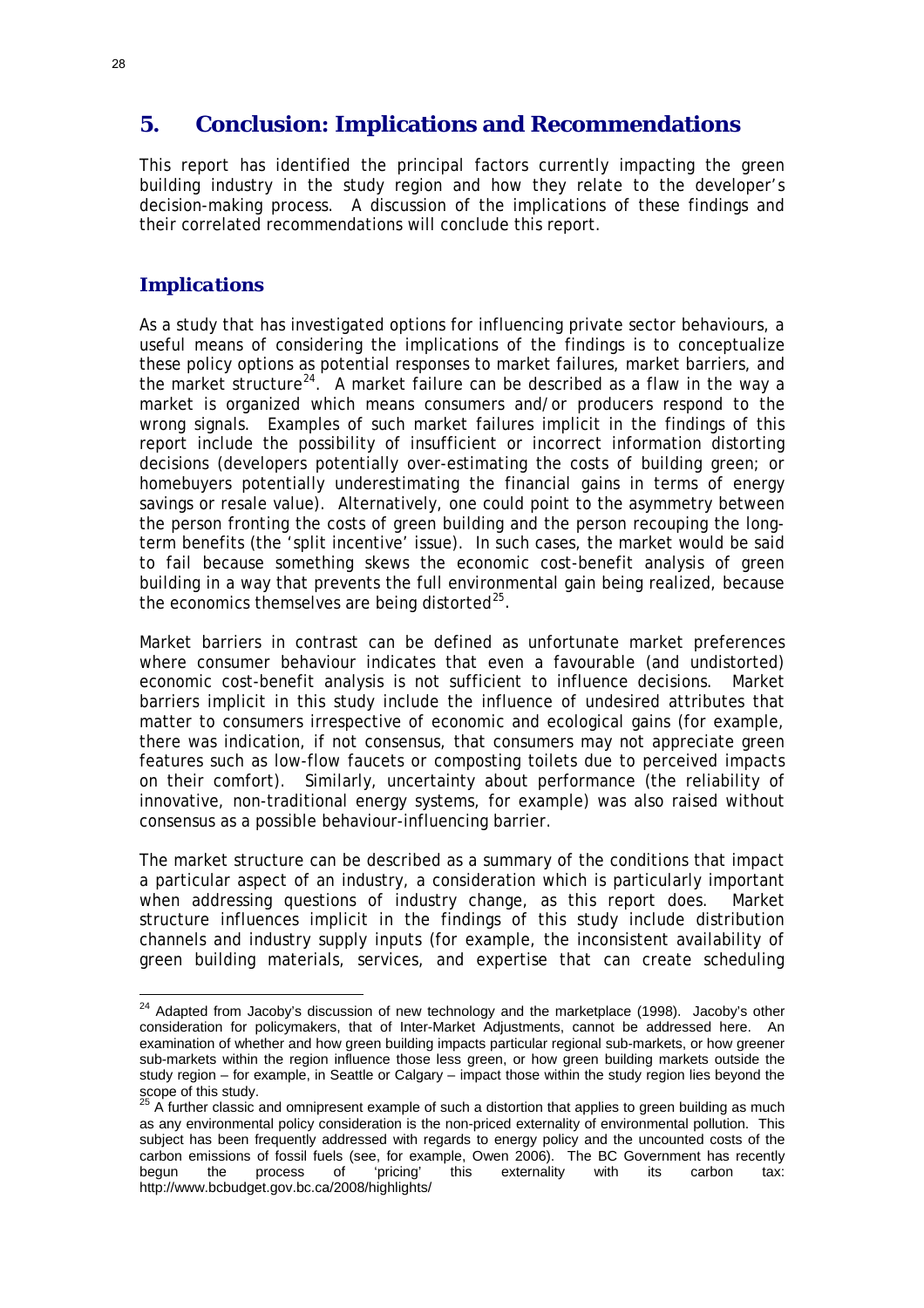## **5. Conclusion: Implications and Recommendations**

This report has identified the principal factors currently impacting the green building industry in the study region and how they relate to the developer's decision-making process. A discussion of the implications of these findings and their correlated recommendations will conclude this report.

#### *Implications*

 $\overline{a}$ 

As a study that has investigated options for influencing private sector behaviours, a useful means of considering the implications of the findings is to conceptualize these policy options as potential responses to market failures, market barriers, and the market structure<sup>[24](#page-28-0)</sup>. A market failure can be described as a flaw in the way a market is organized which means consumers and/or producers respond to the wrong signals. Examples of such market failures implicit in the findings of this report include the possibility of insufficient or incorrect information distorting decisions (developers potentially over-estimating the costs of building green; or homebuyers potentially underestimating the financial gains in terms of energy savings or resale value). Alternatively, one could point to the asymmetry between the person fronting the costs of green building and the person recouping the longterm benefits (the 'split incentive' issue). In such cases, the market would be said to fail because something skews the economic cost-benefit analysis of green building in a way that prevents the full environmental gain being realized, because the economics themselves are being distorted $^{25}$  $^{25}$  $^{25}$ .

Market barriers in contrast can be defined as unfortunate market preferences where consumer behaviour indicates that even a favourable (and undistorted) economic cost-benefit analysis is not sufficient to influence decisions. Market barriers implicit in this study include the influence of undesired attributes that matter to consumers irrespective of economic and ecological gains (for example, there was indication, if not consensus, that consumers may not appreciate green features such as low-flow faucets or composting toilets due to perceived impacts on their comfort). Similarly, uncertainty about performance (the reliability of innovative, non-traditional energy systems, for example) was also raised without consensus as a possible behaviour-influencing barrier.

The market structure can be described as a summary of the conditions that impact a particular aspect of an industry, a consideration which is particularly important when addressing questions of industry change, as this report does. Market structure influences implicit in the findings of this study include distribution channels and industry supply inputs (for example, the inconsistent availability of green building materials, services, and expertise that can create scheduling

<span id="page-28-0"></span> $24$  Adapted from Jacoby's discussion of new technology and the marketplace (1998). Jacoby's other consideration for policymakers, that of Inter-Market Adjustments, cannot be addressed here. An examination of whether and how green building impacts particular regional sub-markets, or how greener sub-markets within the region influence those less green, or how green building markets outside the study region – for example, in Seattle or Calgary – impact those within the study region lies beyond the scope of this study.

<span id="page-28-1"></span> $25$  A further classic and omnipresent example of such a distortion that applies to green building as much as any environmental policy consideration is the non-priced externality of environmental pollution. This subject has been frequently addressed with regards to energy policy and the uncounted costs of the carbon emissions of fossil fuels (see, for example, Owen 2006). The BC Government has recently begun the process of 'pricing' this externality with its carbon tax: http://www.bcbudget.gov.bc.ca/2008/highlights/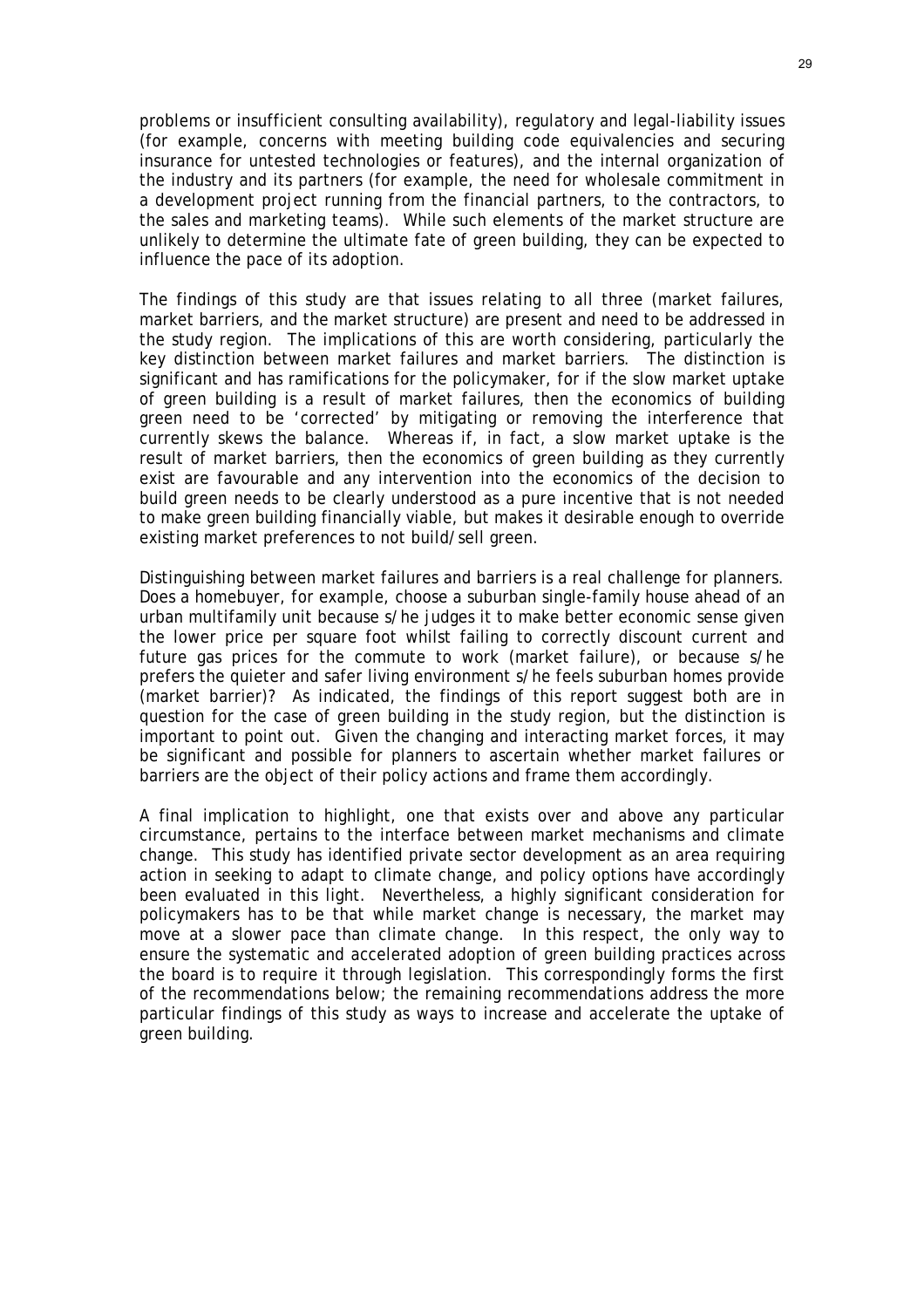problems or insufficient consulting availability), regulatory and legal-liability issues (for example, concerns with meeting building code equivalencies and securing insurance for untested technologies or features), and the internal organization of the industry and its partners (for example, the need for wholesale commitment in a development project running from the financial partners, to the contractors, to the sales and marketing teams). While such elements of the market structure are unlikely to determine the ultimate fate of green building, they can be expected to influence the pace of its adoption.

The findings of this study are that issues relating to all three (market failures, market barriers, and the market structure) are present and need to be addressed in the study region. The implications of this are worth considering, particularly the key distinction between market failures and market barriers. The distinction is significant and has ramifications for the policymaker, for if the slow market uptake of green building is a result of market failures, then the economics of building green need to be 'corrected' by mitigating or removing the interference that currently skews the balance. Whereas if, in fact, a slow market uptake is the result of market barriers, then the economics of green building as they currently exist are favourable and any intervention into the economics of the decision to build green needs to be clearly understood as a pure incentive that is not needed to make green building financially viable, but makes it desirable enough to override existing market preferences to not build/sell green.

Distinguishing between market failures and barriers is a real challenge for planners. Does a homebuyer, for example, choose a suburban single-family house ahead of an urban multifamily unit because s/he judges it to make better economic sense given the lower price per square foot whilst failing to correctly discount current and future gas prices for the commute to work (market failure), or because s/he prefers the quieter and safer living environment s/he feels suburban homes provide (market barrier)? As indicated, the findings of this report suggest both are in question for the case of green building in the study region, but the distinction is important to point out. Given the changing and interacting market forces, it may be significant and possible for planners to ascertain whether market failures or barriers are the object of their policy actions and frame them accordingly.

A final implication to highlight, one that exists over and above any particular circumstance, pertains to the interface between market mechanisms and climate change. This study has identified private sector development as an area requiring action in seeking to adapt to climate change, and policy options have accordingly been evaluated in this light. Nevertheless, a highly significant consideration for policymakers has to be that while market change is necessary, the market may move at a slower pace than climate change. In this respect, the only way to ensure the systematic and accelerated adoption of green building practices across the board is to require it through legislation. This correspondingly forms the first of the recommendations below; the remaining recommendations address the more particular findings of this study as ways to increase and accelerate the uptake of green building.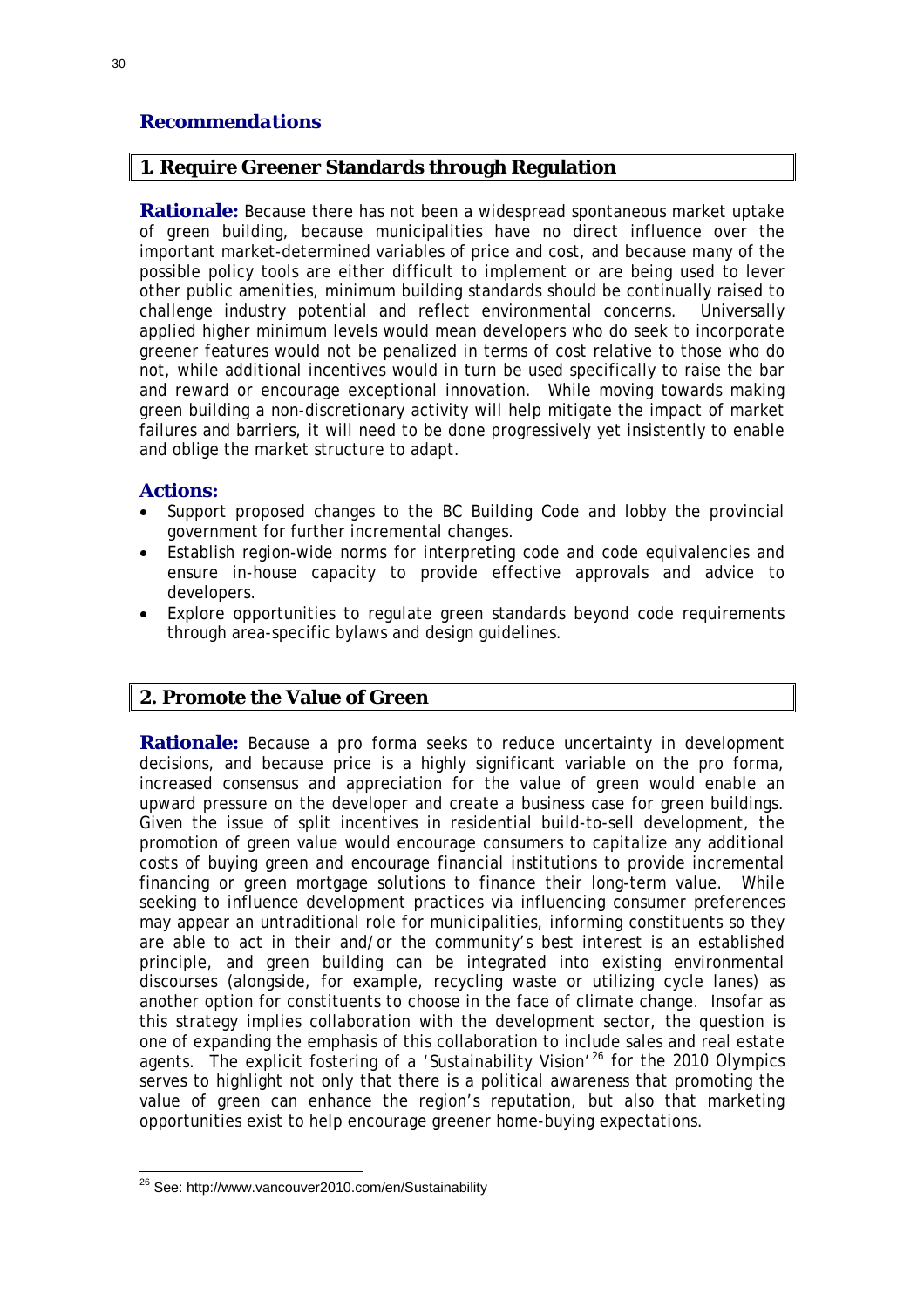#### *Recommendations*

#### **1. Require Greener Standards through Regulation**

**Rationale:** Because there has not been a widespread spontaneous market uptake of green building, because municipalities have no direct influence over the important market-determined variables of price and cost, and because many of the possible policy tools are either difficult to implement or are being used to lever other public amenities, minimum building standards should be continually raised to challenge industry potential and reflect environmental concerns. Universally applied higher minimum levels would mean developers who do seek to incorporate greener features would not be penalized in terms of cost relative to those who do not, while additional incentives would in turn be used specifically to raise the bar and reward or encourage exceptional innovation. While moving towards making green building a non-discretionary activity will help mitigate the impact of market failures and barriers, it will need to be done progressively yet insistently to enable and oblige the market structure to adapt.

#### **Actions:**

- Support proposed changes to the BC Building Code and lobby the provincial government for further incremental changes.
- Establish region-wide norms for interpreting code and code equivalencies and ensure in-house capacity to provide effective approvals and advice to developers.
- Explore opportunities to regulate green standards beyond code requirements through area-specific bylaws and design guidelines.

#### **2. Promote the Value of Green**

**Rationale:** Because a pro forma seeks to reduce uncertainty in development decisions, and because price is a highly significant variable on the pro forma, increased consensus and appreciation for the value of green would enable an upward pressure on the developer and create a business case for green buildings. Given the issue of split incentives in residential build-to-sell development, the promotion of green value would encourage consumers to capitalize any additional costs of buying green and encourage financial institutions to provide incremental financing or green mortgage solutions to finance their long-term value. While seeking to influence development practices via influencing consumer preferences may appear an untraditional role for municipalities, informing constituents so they are able to act in their and/or the community's best interest is an established principle, and green building can be integrated into existing environmental discourses (alongside, for example, recycling waste or utilizing cycle lanes) as another option for constituents to choose in the face of climate change. Insofar as this strategy implies collaboration with the development sector, the question is one of expanding the emphasis of this collaboration to include sales and real estate agents. The explicit fostering of a 'Sustainability Vision'<sup>[26](#page-30-0)</sup> for the 2010 Olympics serves to highlight not only that there is a political awareness that promoting the value of green can enhance the region's reputation, but also that marketing opportunities exist to help encourage greener home-buying expectations.

<span id="page-30-0"></span> $\overline{a}$ 26 See: http://www.vancouver2010.com/en/Sustainability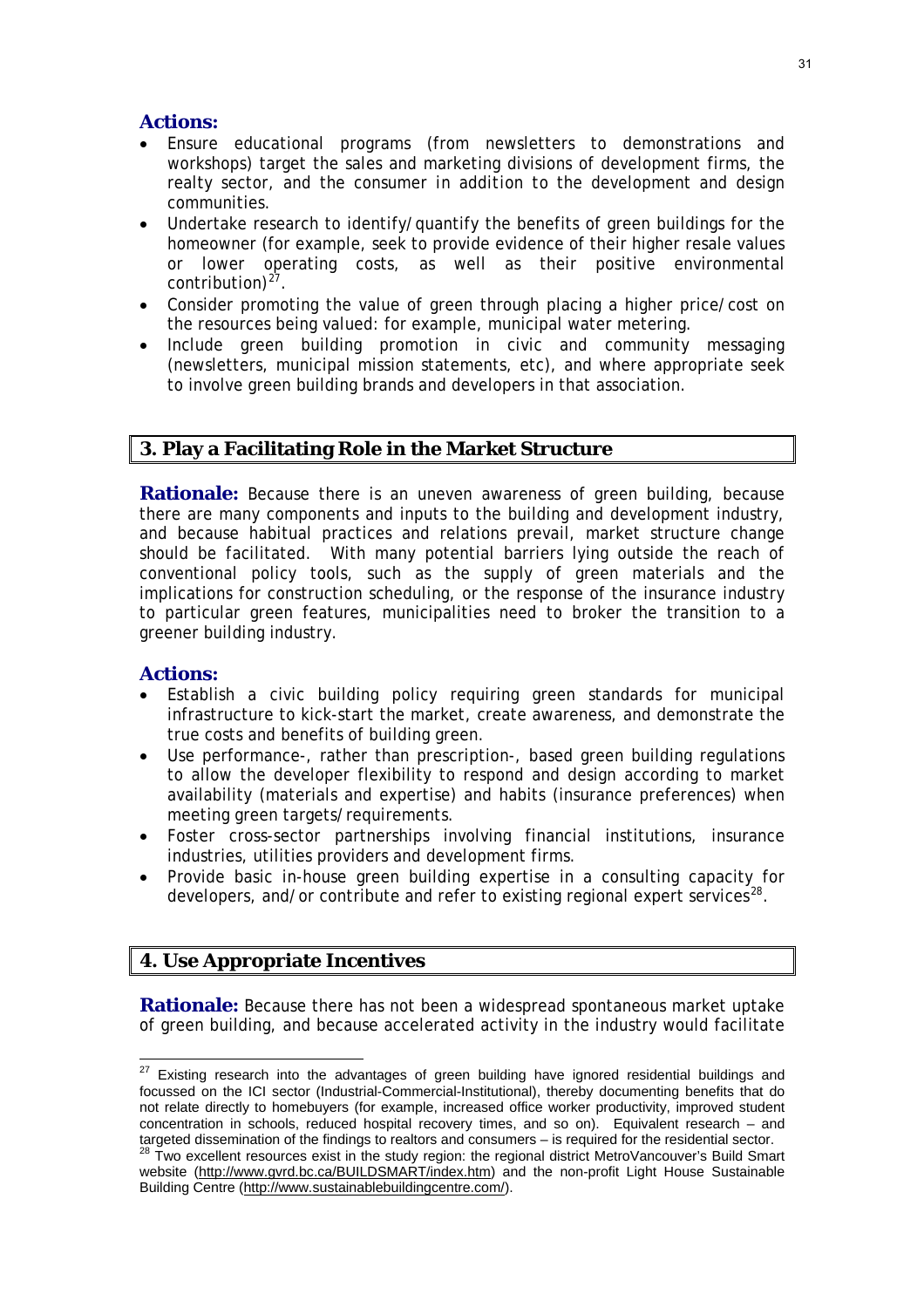#### **Actions:**

- Ensure educational programs (from newsletters to demonstrations and workshops) target the sales and marketing divisions of development firms, the realty sector, and the consumer *in addition to* the development and design communities.
- Undertake research to identify/quantify the benefits of green buildings for the homeowner (for example, seek to provide evidence of their higher resale values or lower operating costs, as well as their positive environmental contribution) $2^7$ .
- Consider promoting the value of green through placing a higher price/cost on the resources being valued: for example, municipal water metering.
- Include green building promotion in civic and community messaging (newsletters, municipal mission statements, etc), and where appropriate seek to involve green building brands and developers in that association.

#### **3. Play a Facilitating Role in the Market Structure**

**Rationale:** Because there is an uneven awareness of green building, because there are many components and inputs to the building and development industry, and because habitual practices and relations prevail, market structure change should be facilitated. With many potential barriers lying outside the reach of conventional policy tools, such as the supply of green materials and the implications for construction scheduling, or the response of the insurance industry to particular green features, municipalities need to broker the transition to a greener building industry.

#### **Actions:**

- Establish a civic building policy requiring green standards for municipal infrastructure to kick-start the market, create awareness, and demonstrate the true costs and benefits of building green.
- Use performance-, rather than prescription-, based green building regulations to allow the developer flexibility to respond and design according to market availability (materials and expertise) and habits (insurance preferences) when meeting green targets/requirements.
- Foster cross-sector partnerships involving financial institutions, insurance industries, utilities providers and development firms.
- Provide basic in-house green building expertise in a consulting capacity for developers, and/or contribute and refer to existing regional expert services<sup>2</sup>

### **4. Use Appropriate Incentives**

**Rationale:** Because there has not been a widespread spontaneous market uptake of green building, and because accelerated activity in the industry would facilitate

<span id="page-31-1"></span><span id="page-31-0"></span> $\overline{a}$  $27$  Existing research into the advantages of green building have ignored residential buildings and focussed on the ICI sector (Industrial-Commercial-Institutional), thereby documenting benefits that do not relate directly to homebuyers (for example, increased office worker productivity, improved student concentration in schools, reduced hospital recovery times, and so on). Equivalent research – and targeted dissemination of the findings to realtors and consumers – is required for the residential sector.<br><sup>28</sup> Two excellent resources exist in the study region: the regional district MetroVancouver's Build Smart website [\(http://www.gvrd.bc.ca/BUILDSMART/index.htm](http://www.gvrd.bc.ca/BUILDSMART/index.htm)) and the non-profit Light House Sustainable Building Centre (<http://www.sustainablebuildingcentre.com/>).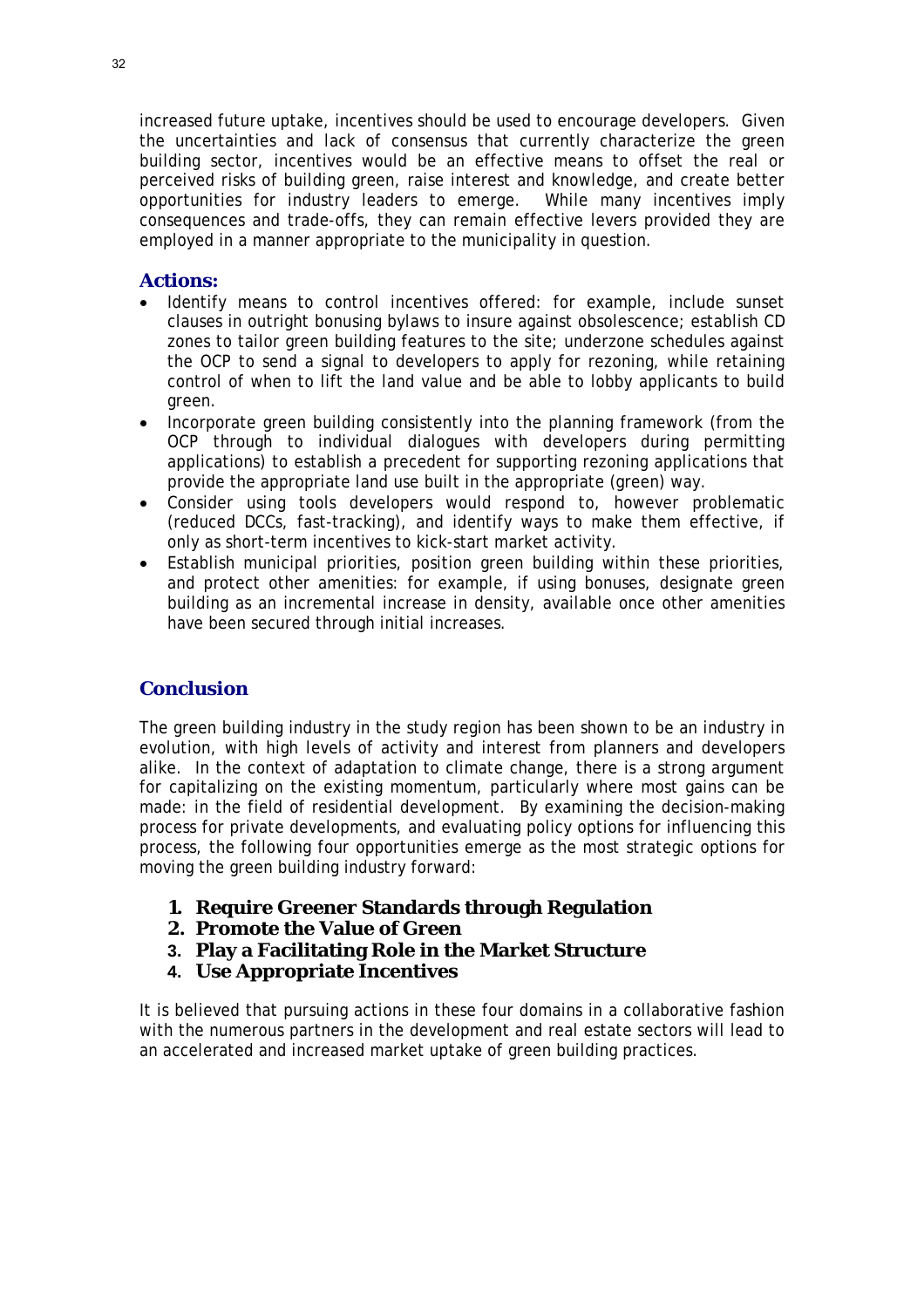increased future uptake, incentives should be used to encourage developers. Given the uncertainties and lack of consensus that currently characterize the green building sector, incentives would be an effective means to offset the real or perceived risks of building green, raise interest and knowledge, and create better opportunities for industry leaders to emerge. While many incentives imply consequences and trade-offs, they can remain effective levers provided they are employed in a manner appropriate to the municipality in question.

#### **Actions:**

- Identify means to control incentives offered: for example, include sunset clauses in outright bonusing bylaws to insure against obsolescence; establish CD zones to tailor green building features to the site; underzone schedules against the OCP to send a signal to developers to apply for rezoning, while retaining control of when to lift the land value and be able to lobby applicants to build green.
- Incorporate green building consistently into the planning framework (from the OCP through to individual dialogues with developers during permitting applications) to establish a precedent for supporting rezoning applications that provide the appropriate land use built in the appropriate (green) way.
- Consider using tools developers would respond to, however problematic (reduced DCCs, fast-tracking), and identify ways to make them effective, if only as short-term incentives to kick-start market activity.
- Establish municipal priorities, position green building within these priorities, and protect other amenities: for example, if using bonuses, designate green building as an incremental increase in density, available once other amenities have been secured through initial increases.

#### *Conclusion*

The green building industry in the study region has been shown to be an industry in evolution, with high levels of activity and interest from planners and developers alike. In the context of adaptation to climate change, there is a strong argument for capitalizing on the existing momentum, particularly where most gains can be made: in the field of residential development. By examining the decision-making process for private developments, and evaluating policy options for influencing this process, the following four opportunities emerge as the most strategic options for moving the green building industry forward:

- **1. Require Greener Standards through Regulation**
- **2. Promote the Value of Green**
- **3. Play a Facilitating Role in the Market Structure**
- **4. Use Appropriate Incentives**

It is believed that pursuing actions in these four domains in a collaborative fashion with the numerous partners in the development and real estate sectors will lead to an accelerated and increased market uptake of green building practices.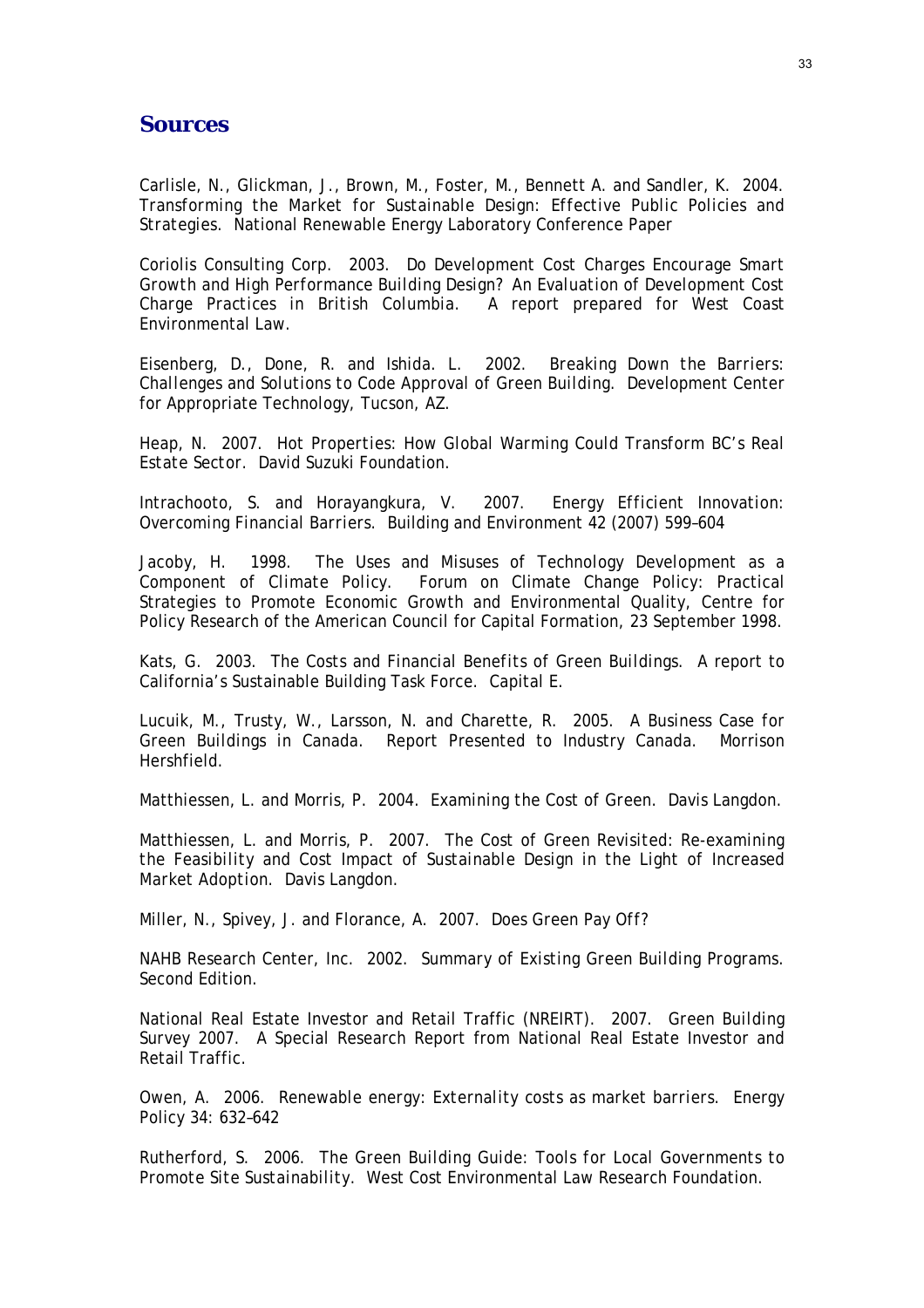#### **Sources**

Carlisle, N., Glickman, J., Brown, M., Foster, M., Bennett A. and Sandler, K. 2004. *Transforming the Market for Sustainable Design: Effective Public Policies and Strategies*. National Renewable Energy Laboratory Conference Paper

Coriolis Consulting Corp. 2003. *Do Development Cost Charges Encourage Smart Growth and High Performance Building Design? An Evaluation of Development Cost Charge Practices in British Columbia*. A report prepared for West Coast Environmental Law.

Eisenberg, D., Done, R. and Ishida. L. 2002. *Breaking Down the Barriers: Challenges and Solutions to Code Approval of Green Building*. Development Center for Appropriate Technology, Tucson, AZ.

Heap, N. 2007. *Hot Properties: How Global Warming Could Transform BC's Real Estate Sector*. David Suzuki Foundation.

Intrachooto, S. and Horayangkura, V. 2007. *Energy Efficient Innovation: Overcoming Financial Barriers*. Building and Environment 42 (2007) 599–604

Jacoby, H. 1998. *The Uses and Misuses of Technology Development as a Component of Climate Policy*. Forum on Climate Change Policy: Practical Strategies to Promote Economic Growth and Environmental Quality, Centre for Policy Research of the American Council for Capital Formation, 23 September 1998.

Kats, G. 2003. *The Costs and Financial Benefits of Green Buildings.* A report to California's Sustainable Building Task Force. Capital E.

Lucuik, M., Trusty, W., Larsson, N. and Charette, R. 2005. *A Business Case for Green Buildings in Canada*. Report Presented to Industry Canada. Morrison Hershfield.

Matthiessen, L. and Morris, P. 2004. *Examining the Cost of Green.* Davis Langdon.

Matthiessen, L. and Morris, P. 2007. *The Cost of Green Revisited: Re-examining the Feasibility and Cost Impact of Sustainable Design in the Light of Increased Market Adoption*. Davis Langdon.

Miller, N., Spivey, J. and Florance, A. 2007. *Does Green Pay Off?*

NAHB Research Center, Inc. 2002. *Summary of Existing Green Building Programs*. Second Edition.

National Real Estate Investor and Retail Traffic (NREIRT). 2007. *Green Building Survey 2007*. A Special Research Report from National Real Estate Investor and Retail Traffic.

Owen, A. 2006. *Renewable energy: Externality costs as market barriers*. Energy Policy 34: 632–642

Rutherford, S. 2006. *The Green Building Guide: Tools for Local Governments to Promote Site Sustainability*. West Cost Environmental Law Research Foundation.